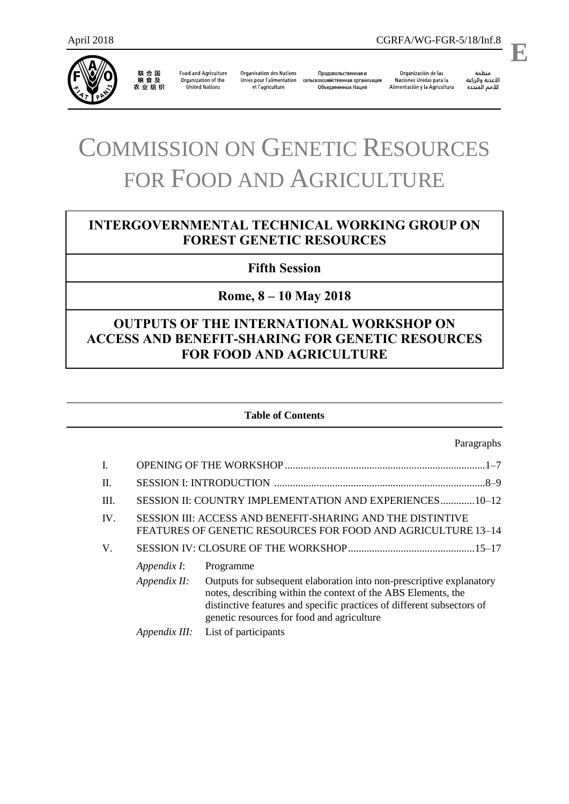

联 合 国<br>粮 食 及<br>农 业 组 织

**Food and Agriculture** Organization of the United Nations

**Organisation des Nations** Unies pour l'alimentation сельскохозяйственная организация et l'agriculture

Продовольственная и Объединенных Наций

Organización de las Naciones Unidas para la Alimentación y la Agricultura

منظمة ستنسه<br>الأغذية والزراعة<br>للأمم المتحدة

.

# COMMISSION ON GENETIC RESOURCES FOR FOOD AND AGRICULTURE

# **INTERGOVERNMENTAL TECHNICAL WORKING GROUP ON FOREST GENETIC RESOURCES**

# **Fifth Session**

# **Rome, 8 – 10 May 2018**

# **OUTPUTS OF THE INTERNATIONAL WORKSHOP ON ACCESS AND BENEFIT-SHARING FOR GENETIC RESOURCES FOR FOOD AND AGRICULTURE**

#### **Table of Contents**

#### Paragraphs

| I.   |              |                                                                                                                                                                                                                                                               |
|------|--------------|---------------------------------------------------------------------------------------------------------------------------------------------------------------------------------------------------------------------------------------------------------------|
| Π.   |              |                                                                                                                                                                                                                                                               |
| III. |              | SESSION II: COUNTRY IMPLEMENTATION AND EXPERIENCES10-12                                                                                                                                                                                                       |
| IV.  |              | SESSION III: ACCESS AND BENEFIT-SHARING AND THE DISTINTIVE<br>FEATURES OF GENETIC RESOURCES FOR FOOD AND AGRICULTURE 13-14                                                                                                                                    |
| V.   |              |                                                                                                                                                                                                                                                               |
|      | Appendix I:  | Programme                                                                                                                                                                                                                                                     |
|      | Appendix II: | Outputs for subsequent elaboration into non-prescriptive explanatory<br>notes, describing within the context of the ABS Elements, the<br>distinctive features and specific practices of different subsectors of<br>genetic resources for food and agriculture |
|      |              | <i>Appendix III:</i> List of participants                                                                                                                                                                                                                     |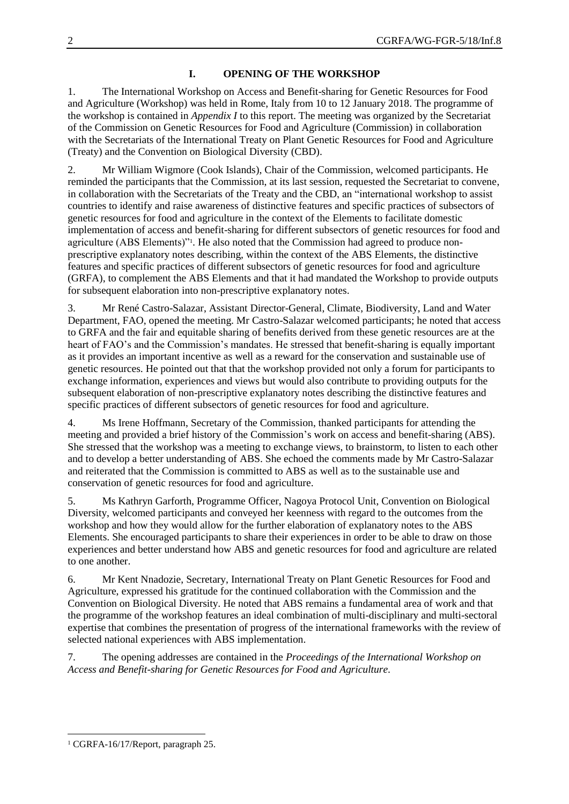## **I. OPENING OF THE WORKSHOP**

1. The International Workshop on Access and Benefit-sharing for Genetic Resources for Food and Agriculture (Workshop) was held in Rome, Italy from 10 to 12 January 2018. The programme of the workshop is contained in *Appendix I* to this report. The meeting was organized by the Secretariat of the Commission on Genetic Resources for Food and Agriculture (Commission) in collaboration with the Secretariats of the International Treaty on Plant Genetic Resources for Food and Agriculture (Treaty) and the Convention on Biological Diversity (CBD).

2. Mr William Wigmore (Cook Islands), Chair of the Commission, welcomed participants. He reminded the participants that the Commission, at its last session, requested the Secretariat to convene, in collaboration with the Secretariats of the Treaty and the CBD, an "international workshop to assist countries to identify and raise awareness of distinctive features and specific practices of subsectors of genetic resources for food and agriculture in the context of the Elements to facilitate domestic implementation of access and benefit-sharing for different subsectors of genetic resources for food and agriculture (ABS Elements)"<sup>1</sup> . He also noted that the Commission had agreed to produce nonprescriptive explanatory notes describing, within the context of the ABS Elements, the distinctive features and specific practices of different subsectors of genetic resources for food and agriculture (GRFA), to complement the ABS Elements and that it had mandated the Workshop to provide outputs for subsequent elaboration into non-prescriptive explanatory notes.

3. Mr René Castro-Salazar, Assistant Director-General, Climate, Biodiversity, Land and Water Department, FAO, opened the meeting. Mr Castro-Salazar welcomed participants; he noted that access to GRFA and the fair and equitable sharing of benefits derived from these genetic resources are at the heart of FAO's and the Commission's mandates. He stressed that benefit-sharing is equally important as it provides an important incentive as well as a reward for the conservation and sustainable use of genetic resources. He pointed out that that the workshop provided not only a forum for participants to exchange information, experiences and views but would also contribute to providing outputs for the subsequent elaboration of non-prescriptive explanatory notes describing the distinctive features and specific practices of different subsectors of genetic resources for food and agriculture.

4. Ms Irene Hoffmann, Secretary of the Commission, thanked participants for attending the meeting and provided a brief history of the Commission's work on access and benefit-sharing (ABS). She stressed that the workshop was a meeting to exchange views, to brainstorm, to listen to each other and to develop a better understanding of ABS. She echoed the comments made by Mr Castro-Salazar and reiterated that the Commission is committed to ABS as well as to the sustainable use and conservation of genetic resources for food and agriculture.

5. Ms Kathryn Garforth, Programme Officer, Nagoya Protocol Unit, Convention on Biological Diversity, welcomed participants and conveyed her keenness with regard to the outcomes from the workshop and how they would allow for the further elaboration of explanatory notes to the ABS Elements. She encouraged participants to share their experiences in order to be able to draw on those experiences and better understand how ABS and genetic resources for food and agriculture are related to one another.

6. Mr Kent Nnadozie, Secretary, International Treaty on Plant Genetic Resources for Food and Agriculture, expressed his gratitude for the continued collaboration with the Commission and the Convention on Biological Diversity. He noted that ABS remains a fundamental area of work and that the programme of the workshop features an ideal combination of multi-disciplinary and multi-sectoral expertise that combines the presentation of progress of the international frameworks with the review of selected national experiences with ABS implementation.

7. The opening addresses are contained in the *Proceedings of the International Workshop on Access and Benefit-sharing for Genetic Resources for Food and Agriculture.*

 $\overline{a}$ 

<sup>1</sup> CGRFA-16/17/Report, paragraph 25.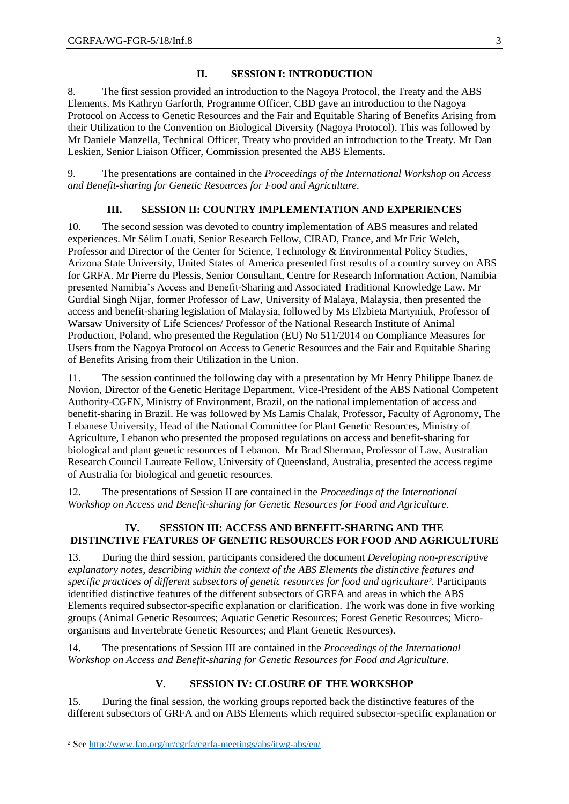## **II. SESSION I: INTRODUCTION**

8. The first session provided an introduction to the Nagoya Protocol, the Treaty and the ABS Elements. Ms Kathryn Garforth, Programme Officer, CBD gave an introduction to the Nagoya Protocol on Access to Genetic Resources and the Fair and Equitable Sharing of Benefits Arising from their Utilization to the Convention on Biological Diversity (Nagoya Protocol). This was followed by Mr Daniele Manzella, Technical Officer, Treaty who provided an introduction to the Treaty. Mr Dan Leskien, Senior Liaison Officer, Commission presented the ABS Elements.

9. The presentations are contained in the *Proceedings of the International Workshop on Access and Benefit-sharing for Genetic Resources for Food and Agriculture.*

## **III. SESSION II: COUNTRY IMPLEMENTATION AND EXPERIENCES**

10. The second session was devoted to country implementation of ABS measures and related experiences. Mr Sélim Louafi, Senior Research Fellow, CIRAD, France, and Mr Eric Welch, Professor and Director of the Center for Science, Technology & Environmental Policy Studies, Arizona State University, United States of America presented first results of a country survey on ABS for GRFA. Mr Pierre du Plessis, Senior Consultant, Centre for Research Information Action, Namibia presented Namibia's Access and Benefit-Sharing and Associated Traditional Knowledge Law. Mr Gurdial Singh Nijar, former Professor of Law, University of Malaya, Malaysia, then presented the access and benefit-sharing legislation of Malaysia, followed by Ms Elzbieta Martyniuk, Professor of Warsaw University of Life Sciences/ Professor of the National Research Institute of Animal Production, Poland, who presented the Regulation (EU) No 511/2014 on Compliance Measures for Users from the Nagoya Protocol on Access to Genetic Resources and the Fair and Equitable Sharing of Benefits Arising from their Utilization in the Union.

11. The session continued the following day with a presentation by Mr Henry Philippe Ibanez de Novion, Director of the Genetic Heritage Department, Vice-President of the ABS National Competent Authority-CGEN, Ministry of Environment, Brazil, on the national implementation of access and benefit-sharing in Brazil. He was followed by Ms Lamis Chalak, Professor, Faculty of Agronomy, The Lebanese University, Head of the National Committee for Plant Genetic Resources, Ministry of Agriculture, Lebanon who presented the proposed regulations on access and benefit-sharing for biological and plant genetic resources of Lebanon. Mr Brad Sherman, Professor of Law, Australian Research Council Laureate Fellow, University of Queensland, Australia, presented the access regime of Australia for biological and genetic resources.

12. The presentations of Session II are contained in the *Proceedings of the International Workshop on Access and Benefit-sharing for Genetic Resources for Food and Agriculture*.

## **IV. SESSION III: ACCESS AND BENEFIT-SHARING AND THE DISTINCTIVE FEATURES OF GENETIC RESOURCES FOR FOOD AND AGRICULTURE**

13. During the third session, participants considered the document *Developing non-prescriptive explanatory notes, describing within the context of the ABS Elements the distinctive features and specific practices of different subsectors of genetic resources for food and agriculture<sup>2</sup> .* Participants identified distinctive features of the different subsectors of GRFA and areas in which the ABS Elements required subsector-specific explanation or clarification. The work was done in five working groups (Animal Genetic Resources; Aquatic Genetic Resources; Forest Genetic Resources; Microorganisms and Invertebrate Genetic Resources; and Plant Genetic Resources).

14. The presentations of Session III are contained in the *Proceedings of the International Workshop on Access and Benefit-sharing for Genetic Resources for Food and Agriculture*.

## **V. SESSION IV: CLOSURE OF THE WORKSHOP**

15. During the final session, the working groups reported back the distinctive features of the different subsectors of GRFA and on ABS Elements which required subsector-specific explanation or

 $\overline{a}$ 

<sup>2</sup> See<http://www.fao.org/nr/cgrfa/cgrfa-meetings/abs/itwg-abs/en/>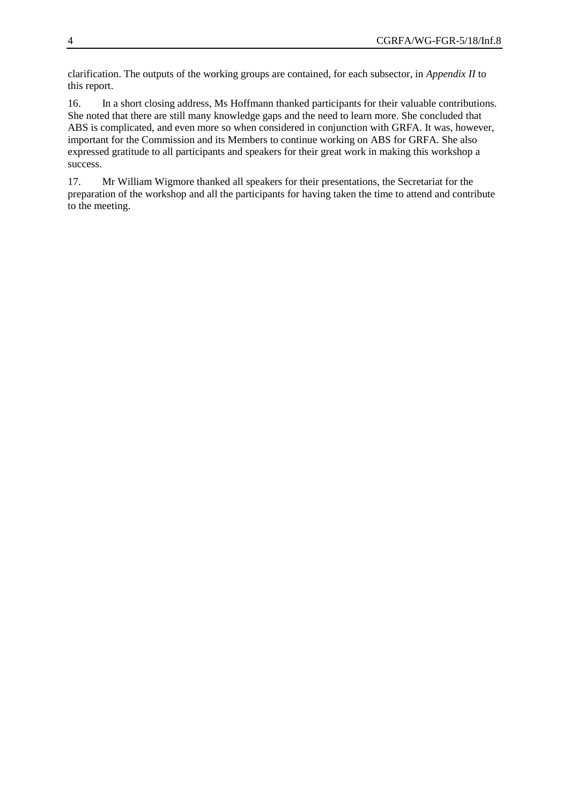clarification. The outputs of the working groups are contained, for each subsector, in *Appendix II* to this report.

16. In a short closing address, Ms Hoffmann thanked participants for their valuable contributions. She noted that there are still many knowledge gaps and the need to learn more. She concluded that ABS is complicated, and even more so when considered in conjunction with GRFA. It was, however, important for the Commission and its Members to continue working on ABS for GRFA. She also expressed gratitude to all participants and speakers for their great work in making this workshop a success.

17. Mr William Wigmore thanked all speakers for their presentations, the Secretariat for the preparation of the workshop and all the participants for having taken the time to attend and contribute to the meeting.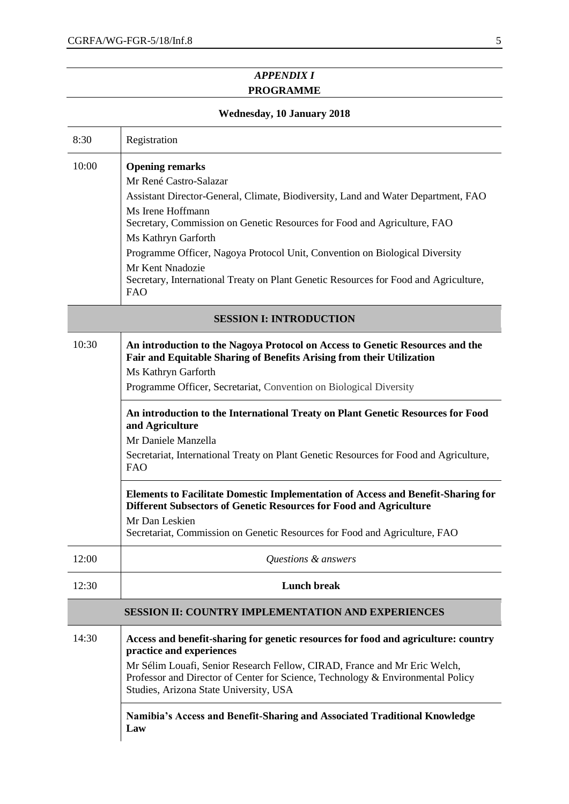# *APPENDIX I* **PROGRAMME**

# **Wednesday, 10 January 2018**

| 8:30  | Registration                                                                                                                                                                                                                                                                                                                                                                                                                                                                                                                                                                                                                                                                                                                                              |
|-------|-----------------------------------------------------------------------------------------------------------------------------------------------------------------------------------------------------------------------------------------------------------------------------------------------------------------------------------------------------------------------------------------------------------------------------------------------------------------------------------------------------------------------------------------------------------------------------------------------------------------------------------------------------------------------------------------------------------------------------------------------------------|
| 10:00 | <b>Opening remarks</b><br>Mr René Castro-Salazar<br>Assistant Director-General, Climate, Biodiversity, Land and Water Department, FAO<br>Ms Irene Hoffmann<br>Secretary, Commission on Genetic Resources for Food and Agriculture, FAO<br>Ms Kathryn Garforth<br>Programme Officer, Nagoya Protocol Unit, Convention on Biological Diversity<br>Mr Kent Nnadozie<br>Secretary, International Treaty on Plant Genetic Resources for Food and Agriculture,<br><b>FAO</b>                                                                                                                                                                                                                                                                                    |
|       | <b>SESSION I: INTRODUCTION</b>                                                                                                                                                                                                                                                                                                                                                                                                                                                                                                                                                                                                                                                                                                                            |
| 10:30 | An introduction to the Nagoya Protocol on Access to Genetic Resources and the<br>Fair and Equitable Sharing of Benefits Arising from their Utilization<br>Ms Kathryn Garforth<br>Programme Officer, Secretariat, Convention on Biological Diversity<br>An introduction to the International Treaty on Plant Genetic Resources for Food<br>and Agriculture<br>Mr Daniele Manzella<br>Secretariat, International Treaty on Plant Genetic Resources for Food and Agriculture,<br><b>FAO</b><br><b>Elements to Facilitate Domestic Implementation of Access and Benefit-Sharing for</b><br>Different Subsectors of Genetic Resources for Food and Agriculture<br>Mr Dan Leskien<br>Secretariat, Commission on Genetic Resources for Food and Agriculture, FAO |
| 12:00 | Questions & answers                                                                                                                                                                                                                                                                                                                                                                                                                                                                                                                                                                                                                                                                                                                                       |
| 12:30 | <b>Lunch break</b>                                                                                                                                                                                                                                                                                                                                                                                                                                                                                                                                                                                                                                                                                                                                        |
|       | <b>SESSION II: COUNTRY IMPLEMENTATION AND EXPERIENCES</b>                                                                                                                                                                                                                                                                                                                                                                                                                                                                                                                                                                                                                                                                                                 |
| 14:30 | Access and benefit-sharing for genetic resources for food and agriculture: country<br>practice and experiences<br>Mr Sélim Louafi, Senior Research Fellow, CIRAD, France and Mr Eric Welch,<br>Professor and Director of Center for Science, Technology & Environmental Policy<br>Studies, Arizona State University, USA<br>Namibia's Access and Benefit-Sharing and Associated Traditional Knowledge<br>Law                                                                                                                                                                                                                                                                                                                                              |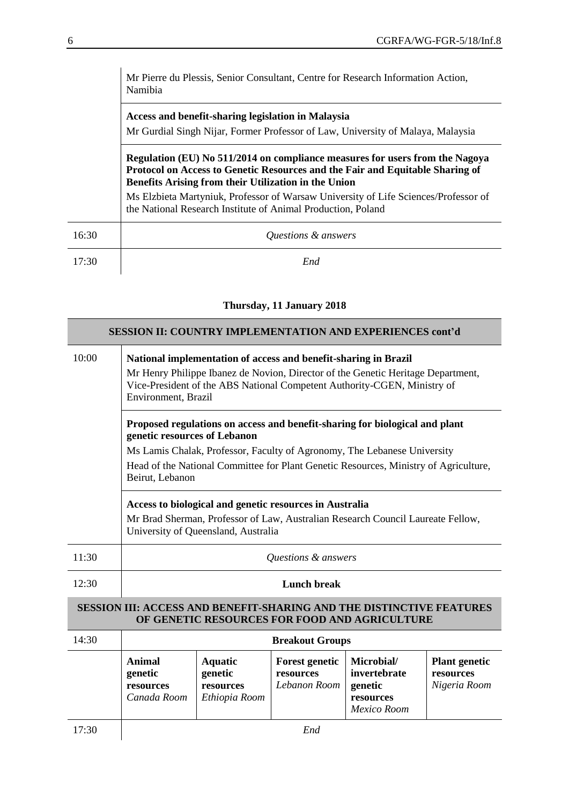|       | Mr Pierre du Plessis, Senior Consultant, Centre for Research Information Action,<br>Namibia                                                                                                                           |  |  |  |
|-------|-----------------------------------------------------------------------------------------------------------------------------------------------------------------------------------------------------------------------|--|--|--|
|       | Access and benefit-sharing legislation in Malaysia                                                                                                                                                                    |  |  |  |
|       | Mr Gurdial Singh Nijar, Former Professor of Law, University of Malaya, Malaysia                                                                                                                                       |  |  |  |
|       | Regulation (EU) No 511/2014 on compliance measures for users from the Nagoya<br>Protocol on Access to Genetic Resources and the Fair and Equitable Sharing of<br>Benefits Arising from their Utilization in the Union |  |  |  |
|       | Ms Elzbieta Martyniuk, Professor of Warsaw University of Life Sciences/Professor of<br>the National Research Institute of Animal Production, Poland                                                                   |  |  |  |
| 16:30 | Questions & answers                                                                                                                                                                                                   |  |  |  |
| 17:30 | End                                                                                                                                                                                                                   |  |  |  |

# **Thursday, 11 January 2018**

|       | <b>SESSION II: COUNTRY IMPLEMENTATION AND EXPERIENCES cont'd</b>                                                                                                                                                                                       |                                                                                                             |                                                    |                                                                   |                                                   |  |  |
|-------|--------------------------------------------------------------------------------------------------------------------------------------------------------------------------------------------------------------------------------------------------------|-------------------------------------------------------------------------------------------------------------|----------------------------------------------------|-------------------------------------------------------------------|---------------------------------------------------|--|--|
| 10:00 | National implementation of access and benefit-sharing in Brazil<br>Mr Henry Philippe Ibanez de Novion, Director of the Genetic Heritage Department,<br>Vice-President of the ABS National Competent Authority-CGEN, Ministry of<br>Environment, Brazil |                                                                                                             |                                                    |                                                                   |                                                   |  |  |
|       |                                                                                                                                                                                                                                                        | Proposed regulations on access and benefit-sharing for biological and plant<br>genetic resources of Lebanon |                                                    |                                                                   |                                                   |  |  |
|       | Ms Lamis Chalak, Professor, Faculty of Agronomy, The Lebanese University                                                                                                                                                                               | Head of the National Committee for Plant Genetic Resources, Ministry of Agriculture,                        |                                                    |                                                                   |                                                   |  |  |
|       | Access to biological and genetic resources in Australia<br>Mr Brad Sherman, Professor of Law, Australian Research Council Laureate Fellow,                                                                                                             |                                                                                                             |                                                    |                                                                   |                                                   |  |  |
| 11:30 | Questions & answers                                                                                                                                                                                                                                    |                                                                                                             |                                                    |                                                                   |                                                   |  |  |
| 12:30 | <b>Lunch break</b>                                                                                                                                                                                                                                     |                                                                                                             |                                                    |                                                                   |                                                   |  |  |
|       | <b>SESSION III: ACCESS AND BENEFIT-SHARING AND THE DISTINCTIVE FEATURES</b>                                                                                                                                                                            |                                                                                                             |                                                    | OF GENETIC RESOURCES FOR FOOD AND AGRICULTURE                     |                                                   |  |  |
| 14:30 |                                                                                                                                                                                                                                                        |                                                                                                             | <b>Breakout Groups</b>                             |                                                                   |                                                   |  |  |
|       | <b>Animal</b><br>genetic<br>resources<br>Canada Room                                                                                                                                                                                                   | <b>Aquatic</b><br>genetic<br>resources<br>Ethiopia Room                                                     | <b>Forest genetic</b><br>resources<br>Lebanon Room | Microbial/<br>invertebrate<br>genetic<br>resources<br>Mexico Room | <b>Plant genetic</b><br>resources<br>Nigeria Room |  |  |
| 17:30 |                                                                                                                                                                                                                                                        |                                                                                                             | End                                                |                                                                   |                                                   |  |  |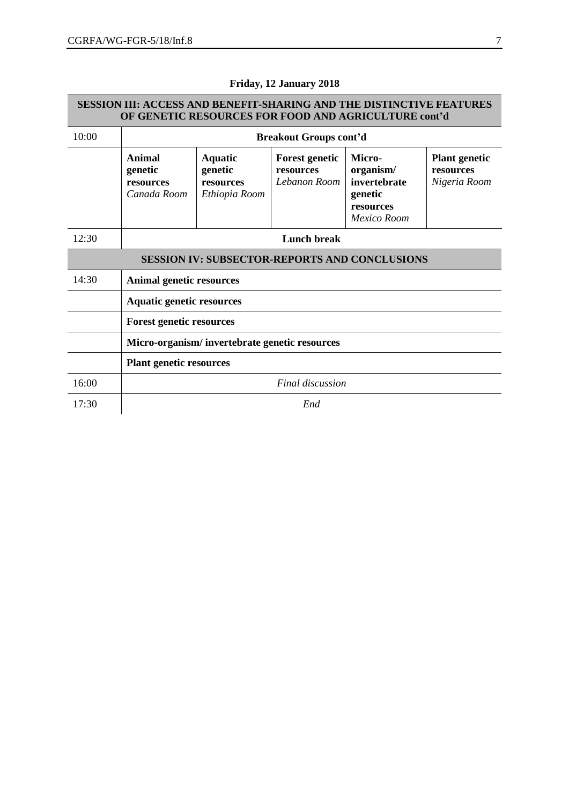|                                 | SESSION III: ACCESS AND BENEFIT-SHARING AND THE DISTINCTIVE FEATURES | OF GENETIC RESOURCES FOR FOOD AND AGRICULTURE cont'd    |                                                    |                                                                            |                                                   |  |  |  |
|---------------------------------|----------------------------------------------------------------------|---------------------------------------------------------|----------------------------------------------------|----------------------------------------------------------------------------|---------------------------------------------------|--|--|--|
| 10:00                           |                                                                      | <b>Breakout Groups cont'd</b>                           |                                                    |                                                                            |                                                   |  |  |  |
|                                 | Animal<br>genetic<br>resources<br>Canada Room                        | <b>Aquatic</b><br>genetic<br>resources<br>Ethiopia Room | <b>Forest genetic</b><br>resources<br>Lebanon Room | Micro-<br>organism/<br>invertebrate<br>genetic<br>resources<br>Mexico Room | <b>Plant genetic</b><br>resources<br>Nigeria Room |  |  |  |
| 12:30                           |                                                                      | <b>Lunch break</b>                                      |                                                    |                                                                            |                                                   |  |  |  |
|                                 |                                                                      | <b>SESSION IV: SUBSECTOR-REPORTS AND CONCLUSIONS</b>    |                                                    |                                                                            |                                                   |  |  |  |
| 14:30                           | <b>Animal genetic resources</b>                                      |                                                         |                                                    |                                                                            |                                                   |  |  |  |
|                                 | <b>Aquatic genetic resources</b>                                     |                                                         |                                                    |                                                                            |                                                   |  |  |  |
| <b>Forest genetic resources</b> |                                                                      |                                                         |                                                    |                                                                            |                                                   |  |  |  |
|                                 | Micro-organism/invertebrate genetic resources                        |                                                         |                                                    |                                                                            |                                                   |  |  |  |
|                                 | <b>Plant genetic resources</b>                                       |                                                         |                                                    |                                                                            |                                                   |  |  |  |
| 16:00                           |                                                                      |                                                         | Final discussion                                   |                                                                            |                                                   |  |  |  |
| 17:30                           | End                                                                  |                                                         |                                                    |                                                                            |                                                   |  |  |  |

# **Friday, 12 January 2018**

# **SESSION III: ACCESS AND BENEFIT-SHARING AND THE DISTINCTIVE FEATURES**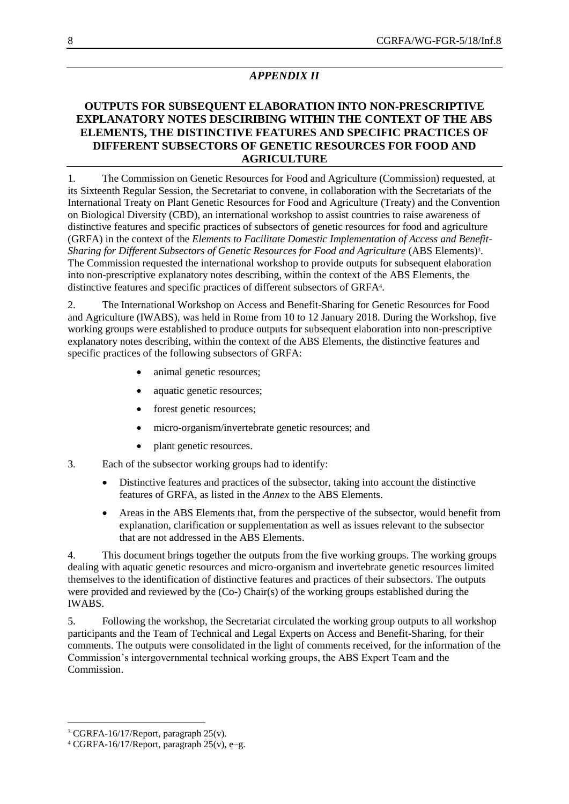# *APPENDIX II*

# **OUTPUTS FOR SUBSEQUENT ELABORATION INTO NON-PRESCRIPTIVE EXPLANATORY NOTES DESCIRIBING WITHIN THE CONTEXT OF THE ABS ELEMENTS, THE DISTINCTIVE FEATURES AND SPECIFIC PRACTICES OF DIFFERENT SUBSECTORS OF GENETIC RESOURCES FOR FOOD AND AGRICULTURE**

1. The Commission on Genetic Resources for Food and Agriculture (Commission) requested, at its Sixteenth Regular Session, the Secretariat to convene, in collaboration with the Secretariats of the International Treaty on Plant Genetic Resources for Food and Agriculture (Treaty) and the Convention on Biological Diversity (CBD), an international workshop to assist countries to raise awareness of distinctive features and specific practices of subsectors of genetic resources for food and agriculture (GRFA) in the context of the *Elements to Facilitate Domestic Implementation of Access and Benefit-Sharing for Different Subsectors of Genetic Resources for Food and Agriculture* (ABS Elements) 3 . The Commission requested the international workshop to provide outputs for subsequent elaboration into non-prescriptive explanatory notes describing, within the context of the ABS Elements, the distinctive features and specific practices of different subsectors of GRFA<sup>4</sup> .

2. The International Workshop on Access and Benefit-Sharing for Genetic Resources for Food and Agriculture (IWABS), was held in Rome from 10 to 12 January 2018. During the Workshop, five working groups were established to produce outputs for subsequent elaboration into non-prescriptive explanatory notes describing, within the context of the ABS Elements, the distinctive features and specific practices of the following subsectors of GRFA:

- animal genetic resources;
- aquatic genetic resources;
- forest genetic resources;
- micro-organism/invertebrate genetic resources; and
- plant genetic resources.
- 3. Each of the subsector working groups had to identify:
	- Distinctive features and practices of the subsector, taking into account the distinctive features of GRFA, as listed in the *Annex* to the ABS Elements.
	- Areas in the ABS Elements that, from the perspective of the subsector, would benefit from explanation, clarification or supplementation as well as issues relevant to the subsector that are not addressed in the ABS Elements.

4. This document brings together the outputs from the five working groups. The working groups dealing with aquatic genetic resources and micro-organism and invertebrate genetic resources limited themselves to the identification of distinctive features and practices of their subsectors. The outputs were provided and reviewed by the (Co-) Chair(s) of the working groups established during the IWABS.

5. Following the workshop, the Secretariat circulated the working group outputs to all workshop participants and the Team of Technical and Legal Experts on Access and Benefit-Sharing, for their comments. The outputs were consolidated in the light of comments received, for the information of the Commission's intergovernmental technical working groups, the ABS Expert Team and the Commission.

 $\overline{a}$ 

<sup>3</sup> CGRFA-16/17/Report, paragraph 25(v).

 $4 \text{ CGRFA-16/17/Report}$ , paragraph  $25(v)$ , e-g.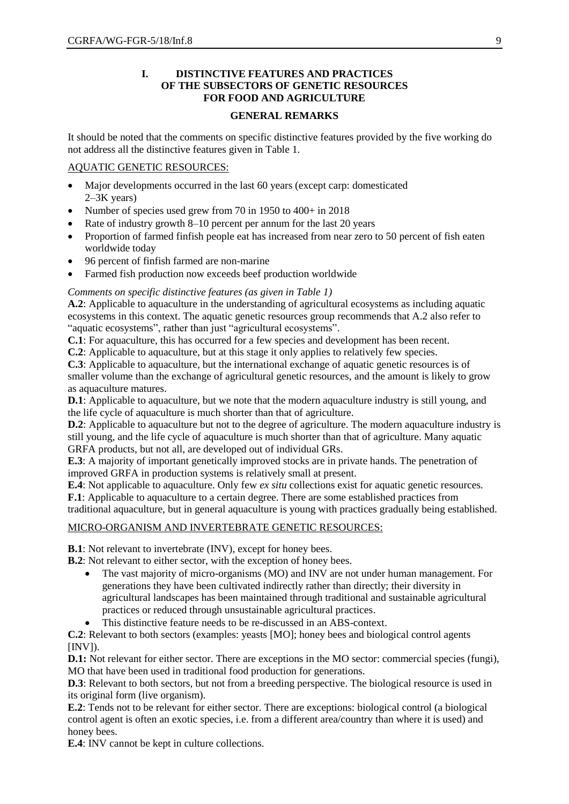## **I. DISTINCTIVE FEATURES AND PRACTICES OF THE SUBSECTORS OF GENETIC RESOURCES FOR FOOD AND AGRICULTURE**

#### **GENERAL REMARKS**

It should be noted that the comments on specific distinctive features provided by the five working do not address all the distinctive features given in Table 1.

## AQUATIC GENETIC RESOURCES:

- Major developments occurred in the last 60 years (except carp: domesticated 2–3K years)
- Number of species used grew from 70 in 1950 to 400+ in 2018
- Rate of industry growth 8–10 percent per annum for the last 20 years
- Proportion of farmed finfish people eat has increased from near zero to 50 percent of fish eaten worldwide today
- 96 percent of finfish farmed are non-marine
- Farmed fish production now exceeds beef production worldwide

## *Comments on specific distinctive features (as given in Table 1)*

**A.2**: Applicable to aquaculture in the understanding of agricultural ecosystems as including aquatic ecosystems in this context. The aquatic genetic resources group recommends that A.2 also refer to "aquatic ecosystems", rather than just "agricultural ecosystems".

**C.1**: For aquaculture, this has occurred for a few species and development has been recent.

**C.2**: Applicable to aquaculture, but at this stage it only applies to relatively few species.

**C.3**: Applicable to aquaculture, but the international exchange of aquatic genetic resources is of smaller volume than the exchange of agricultural genetic resources, and the amount is likely to grow as aquaculture matures.

**D.1**: Applicable to aquaculture, but we note that the modern aquaculture industry is still young, and the life cycle of aquaculture is much shorter than that of agriculture.

**D.2**: Applicable to aquaculture but not to the degree of agriculture. The modern aquaculture industry is still young, and the life cycle of aquaculture is much shorter than that of agriculture. Many aquatic GRFA products, but not all, are developed out of individual GRs.

**E.3**: A majority of important genetically improved stocks are in private hands. The penetration of improved GRFA in production systems is relatively small at present.

**E.4**: Not applicable to aquaculture. Only few *ex situ* collections exist for aquatic genetic resources*.*

**F.1**: Applicable to aquaculture to a certain degree. There are some established practices from

traditional aquaculture, but in general aquaculture is young with practices gradually being established.

# MICRO-ORGANISM AND INVERTEBRATE GENETIC RESOURCES:

**B.1**: Not relevant to invertebrate (INV), except for honey bees.

**B.2**: Not relevant to either sector, with the exception of honey bees.

- The vast majority of micro-organisms (MO) and INV are not under human management. For generations they have been cultivated indirectly rather than directly; their diversity in agricultural landscapes has been maintained through traditional and sustainable agricultural practices or reduced through unsustainable agricultural practices.
- This distinctive feature needs to be re-discussed in an ABS-context.

**C.2**: Relevant to both sectors (examples: yeasts [MO]; honey bees and biological control agents  $[INV]$ ).

**D.1:** Not relevant for either sector. There are exceptions in the MO sector: commercial species (fungi), MO that have been used in traditional food production for generations.

**D.3**: Relevant to both sectors, but not from a breeding perspective. The biological resource is used in its original form (live organism).

**E.2**: Tends not to be relevant for either sector. There are exceptions: biological control (a biological control agent is often an exotic species, i.e. from a different area/country than where it is used) and honey bees.

**E.4**: INV cannot be kept in culture collections.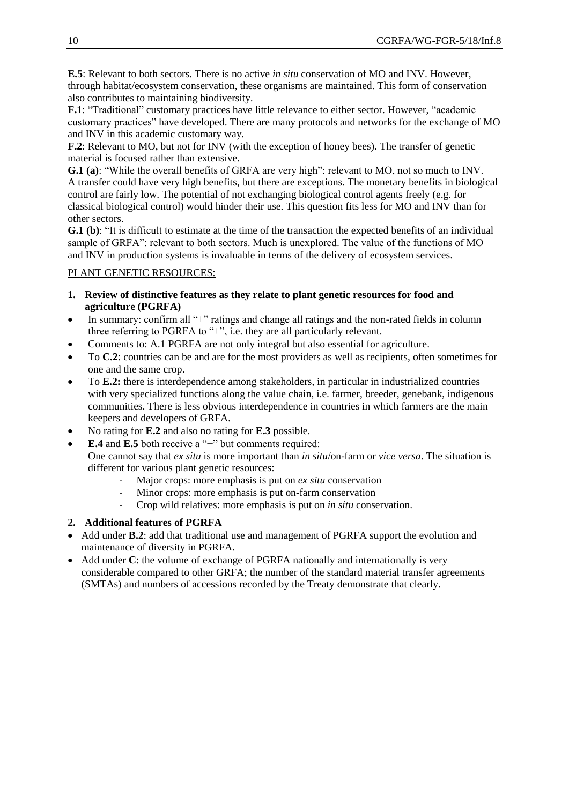**E.5**: Relevant to both sectors. There is no active *in situ* conservation of MO and INV. However, through habitat/ecosystem conservation, these organisms are maintained. This form of conservation also contributes to maintaining biodiversity.

**F.1**: "Traditional" customary practices have little relevance to either sector. However, "academic customary practices" have developed. There are many protocols and networks for the exchange of MO and INV in this academic customary way.

**F.2**: Relevant to MO, but not for INV (with the exception of honey bees). The transfer of genetic material is focused rather than extensive.

**G.1 (a)**: "While the overall benefits of GRFA are very high": relevant to MO, not so much to INV. A transfer could have very high benefits, but there are exceptions. The monetary benefits in biological control are fairly low. The potential of not exchanging biological control agents freely (e.g. for classical biological control) would hinder their use. This question fits less for MO and INV than for other sectors.

**G.1 (b)**: "It is difficult to estimate at the time of the transaction the expected benefits of an individual sample of GRFA": relevant to both sectors. Much is unexplored. The value of the functions of MO and INV in production systems is invaluable in terms of the delivery of ecosystem services.

## PLANT GENETIC RESOURCES:

- **1. Review of distinctive features as they relate to plant genetic resources for food and agriculture (PGRFA)**
- In summary: confirm all "+" ratings and change all ratings and the non-rated fields in column three referring to PGRFA to "+", i.e. they are all particularly relevant.
- Comments to: A.1 PGRFA are not only integral but also essential for agriculture.
- To **C.2**: countries can be and are for the most providers as well as recipients, often sometimes for one and the same crop.
- To **E.2:** there is interdependence among stakeholders, in particular in industrialized countries with very specialized functions along the value chain, i.e. farmer, breeder, genebank, indigenous communities. There is less obvious interdependence in countries in which farmers are the main keepers and developers of GRFA.
- No rating for **E.2** and also no rating for **E.3** possible.
- **E.4** and **E.5** both receive a "+" but comments required:

One cannot say that *ex situ* is more important than *in situ*/on-farm or *vice versa*. The situation is different for various plant genetic resources:

- Major crops: more emphasis is put on *ex situ* conservation
- Minor crops: more emphasis is put on-farm conservation
- Crop wild relatives: more emphasis is put on *in situ* conservation.
- **2. Additional features of PGRFA**
- Add under **B.2**: add that traditional use and management of PGRFA support the evolution and maintenance of diversity in PGRFA.
- Add under **C**: the volume of exchange of PGRFA nationally and internationally is very considerable compared to other GRFA; the number of the standard material transfer agreements (SMTAs) and numbers of accessions recorded by the Treaty demonstrate that clearly.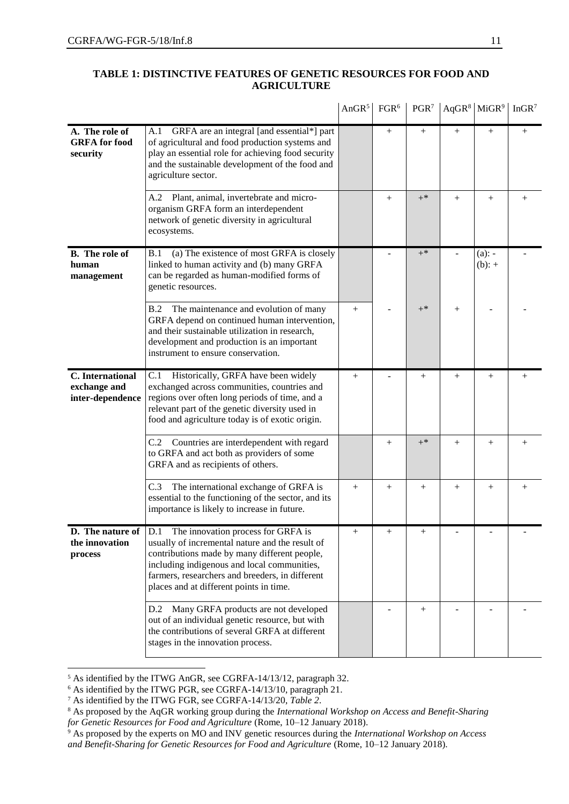|                                                      |                                                                                                                                                                                                                                                                                                                    | AnGR <sup>5</sup> | FGR <sup>6</sup> | PGR <sup>7</sup> |        | $AqGR8$ MiGR <sup>9</sup> | InGR <sup>7</sup>  |
|------------------------------------------------------|--------------------------------------------------------------------------------------------------------------------------------------------------------------------------------------------------------------------------------------------------------------------------------------------------------------------|-------------------|------------------|------------------|--------|---------------------------|--------------------|
| A. The role of<br><b>GRFA</b> for food<br>security   | GRFA are an integral [and essential*] part<br>A.1<br>of agricultural and food production systems and<br>play an essential role for achieving food security<br>and the sustainable development of the food and<br>agriculture sector.                                                                               |                   | $^{+}$           | $^{+}$           | $+$    | $^{+}$                    | $^{+}$             |
|                                                      | Plant, animal, invertebrate and micro-<br>A.2<br>organism GRFA form an interdependent<br>network of genetic diversity in agricultural<br>ecosystems.                                                                                                                                                               |                   | $^{+}$           | $+^*$            | $^{+}$ | $^{+}$                    | $^{+}$             |
| <b>B.</b> The role of<br>human<br>management         | (a) The existence of most GRFA is closely<br>B.1<br>linked to human activity and (b) many GRFA<br>can be regarded as human-modified forms of<br>genetic resources.                                                                                                                                                 |                   |                  | $+^*$            |        | $(a)$ : -<br>$(b): +$     |                    |
|                                                      | The maintenance and evolution of many<br>B.2<br>GRFA depend on continued human intervention,<br>and their sustainable utilization in research,<br>development and production is an important<br>instrument to ensure conservation.                                                                                 | $^{+}$            |                  | $+^*$            | $^{+}$ |                           |                    |
| C. International<br>exchange and<br>inter-dependence | C.1 Historically, GRFA have been widely<br>exchanged across communities, countries and<br>regions over often long periods of time, and a<br>relevant part of the genetic diversity used in<br>food and agriculture today is of exotic origin.                                                                      | $^{+}$            |                  | $^{+}$           | $^{+}$ | $^{+}$                    | $^{+}$             |
|                                                      | C.2 Countries are interdependent with regard<br>to GRFA and act both as providers of some<br>GRFA and as recipients of others.                                                                                                                                                                                     |                   | $^{+}$           | $+^*$            | $+$    | $^{+}$                    |                    |
|                                                      | C.3<br>The international exchange of GRFA is<br>essential to the functioning of the sector, and its<br>importance is likely to increase in future.                                                                                                                                                                 | $^{+}$            | $^{+}$           | $^{+}$           | $^{+}$ | $^{+}$                    | $\hspace{0.1mm} +$ |
| the innovation<br>process                            | <b>D.</b> The nature of $ D.1 $ The innovation process for GRFA is<br>usually of incremental nature and the result of<br>contributions made by many different people,<br>including indigenous and local communities,<br>farmers, researchers and breeders, in different<br>places and at different points in time. | $^{+}$            | $+$              | $+$              |        |                           |                    |
|                                                      | Many GRFA products are not developed<br>D.2<br>out of an individual genetic resource, but with<br>the contributions of several GRFA at different<br>stages in the innovation process.                                                                                                                              |                   |                  | $^{+}$           |        |                           |                    |

## **TABLE 1: DISTINCTIVE FEATURES OF GENETIC RESOURCES FOR FOOD AND AGRICULTURE**

 $\hat{\mathbf{r}}$ 

 $\overline{a}$ 

<sup>5</sup> As identified by the ITWG AnGR, see CGRFA-14/13/12, paragraph 32.

<sup>6</sup> As identified by the ITWG PGR, see CGRFA-14/13/10, paragraph 21.

<sup>7</sup> As identified by the ITWG FGR, see CGRFA-14/13/20, *Table 2*.

<sup>8</sup> As proposed by the AqGR working group during the *International Workshop on Access and Benefit-Sharing for Genetic Resources for Food and Agriculture* (Rome, 10–12 January 2018).

<sup>9</sup> As proposed by the experts on MO and INV genetic resources during the *International Workshop on Access and Benefit-Sharing for Genetic Resources for Food and Agriculture* (Rome, 10–12 January 2018).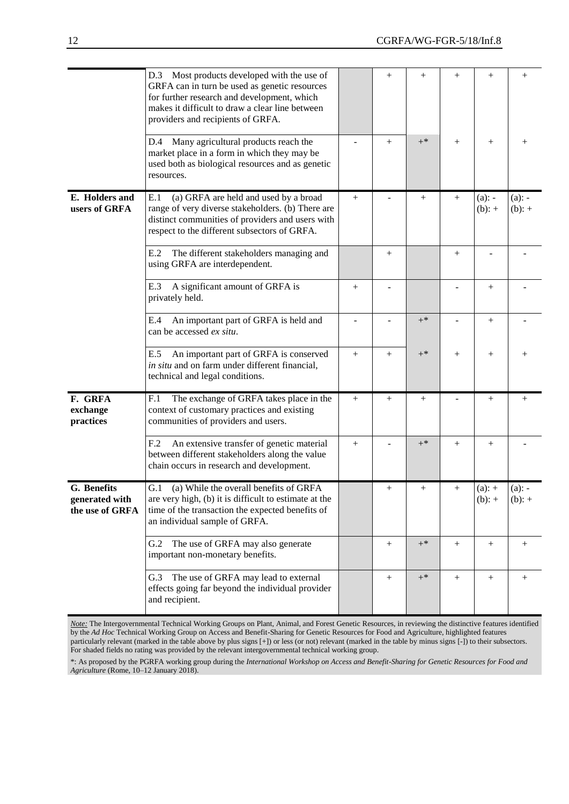|                                                  | D.3 Most products developed with the use of<br>GRFA can in turn be used as genetic resources<br>for further research and development, which<br>makes it difficult to draw a clear line between<br>providers and recipients of GRFA. |        | $^{+}$ | $^{+}$ | $^{+}$ | $^{+}$                | $^{+}$                |
|--------------------------------------------------|-------------------------------------------------------------------------------------------------------------------------------------------------------------------------------------------------------------------------------------|--------|--------|--------|--------|-----------------------|-----------------------|
|                                                  | Many agricultural products reach the<br>D.4<br>market place in a form in which they may be<br>used both as biological resources and as genetic<br>resources.                                                                        |        | $^{+}$ | $+$ *  | $+$    | $^{+}$                | $^{+}$                |
| E. Holders and<br>users of GRFA                  | E.1<br>(a) GRFA are held and used by a broad<br>range of very diverse stakeholders. (b) There are<br>distinct communities of providers and users with<br>respect to the different subsectors of GRFA.                               | $^{+}$ |        | $+$    | $+$    | $(a)$ : -<br>$(b): +$ | $(a)$ : -<br>$(b): +$ |
|                                                  | E.2<br>The different stakeholders managing and<br>using GRFA are interdependent.                                                                                                                                                    |        | $^{+}$ |        | $^{+}$ |                       |                       |
|                                                  | E.3<br>A significant amount of GRFA is<br>privately held.                                                                                                                                                                           | $^{+}$ |        |        |        | $^{+}$                |                       |
|                                                  | An important part of GRFA is held and<br>E.4<br>can be accessed ex situ.                                                                                                                                                            |        |        | $+^*$  |        | $^{+}$                |                       |
|                                                  | An important part of GRFA is conserved<br>E.5<br>in situ and on farm under different financial,<br>technical and legal conditions.                                                                                                  | $^{+}$ | $^{+}$ | $+$ *  | $^{+}$ | $^{+}$                | $^{+}$                |
| F. GRFA<br>exchange<br>practices                 | The exchange of GRFA takes place in the<br>F.1<br>context of customary practices and existing<br>communities of providers and users.                                                                                                | $^{+}$ | $^{+}$ | $^{+}$ |        | $^{+}$                |                       |
|                                                  | An extensive transfer of genetic material<br>F <sub>12</sub><br>between different stakeholders along the value<br>chain occurs in research and development.                                                                         | $^{+}$ |        | $+$ *  | $+$    | $^{+}$                |                       |
| G. Benefits<br>generated with<br>the use of GRFA | (a) While the overall benefits of GRFA<br>G.1<br>are very high, (b) it is difficult to estimate at the<br>time of the transaction the expected benefits of<br>an individual sample of GRFA.                                         |        | $^{+}$ | $^{+}$ | $+$    | $(a): +$<br>$(b): +$  | $(a)$ : -<br>$(b): +$ |
|                                                  | The use of GRFA may also generate<br>G.2<br>important non-monetary benefits.                                                                                                                                                        |        | $^{+}$ | $+^*$  | $^{+}$ | $^{+}$                | $^{+}$                |
|                                                  | The use of GRFA may lead to external<br>G.3<br>effects going far beyond the individual provider<br>and recipient.                                                                                                                   |        | $^{+}$ | $+^*$  | $^{+}$ |                       | $^{+}$                |

*Note:* The Intergovernmental Technical Working Groups on Plant, Animal, and Forest Genetic Resources, in reviewing the distinctive features identified by the *Ad Hoc* Technical Working Group on Access and Benefit-Sharing for Genetic Resources for Food and Agriculture, highlighted features particularly relevant (marked in the table above by plus signs [+]) or less (or not) relevant (marked in the table by minus signs [-]) to their subsectors. For shaded fields no rating was provided by the relevant intergovernmental technical working group.

\*: As proposed by the PGRFA working group during the *International Workshop on Access and Benefit-Sharing for Genetic Resources for Food and Agriculture* (Rome, 10–12 January 2018).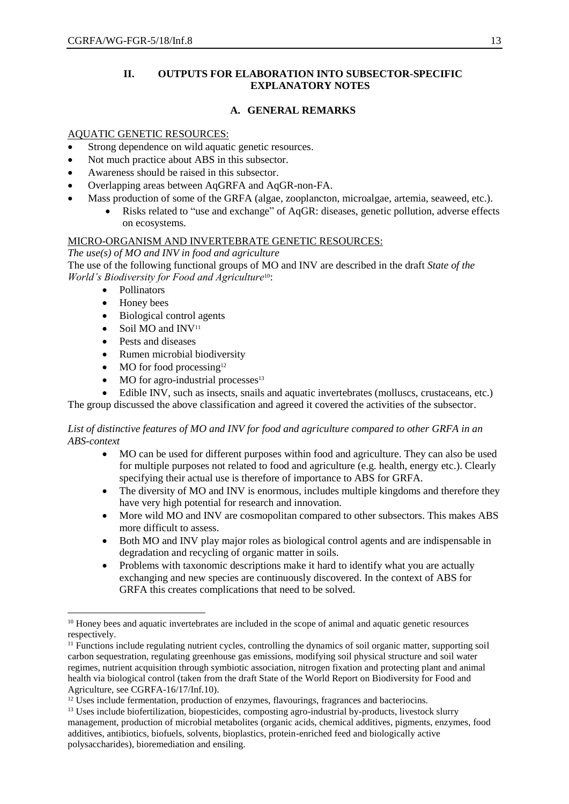## **II. OUTPUTS FOR ELABORATION INTO SUBSECTOR-SPECIFIC EXPLANATORY NOTES**

## **A. GENERAL REMARKS**

#### AQUATIC GENETIC RESOURCES:

- Strong dependence on wild aquatic genetic resources.
- Not much practice about ABS in this subsector.
- Awareness should be raised in this subsector.
- Overlapping areas between AqGRFA and AqGR-non-FA.
- Mass production of some of the GRFA (algae, zooplancton, microalgae, artemia, seaweed, etc.).
	- Risks related to "use and exchange" of AqGR: diseases, genetic pollution, adverse effects on ecosystems.

#### MICRO-ORGANISM AND INVERTEBRATE GENETIC RESOURCES:

*The use(s) of MO and INV in food and agriculture* The use of the following functional groups of MO and INV are described in the draft *State of the World's Biodiversity for Food and Agriculture*10:

- Pollinators
- Honey bees

 $\overline{a}$ 

- Biological control agents
- $\bullet$  Soil MO and INV<sup>11</sup>
- Pests and diseases
- Rumen microbial biodiversity
- $\bullet$  MO for food processing<sup>12</sup>
- $\bullet$  MO for agro-industrial processes<sup>13</sup>
- Edible INV, such as insects, snails and aquatic invertebrates (molluscs, crustaceans, etc.)

The group discussed the above classification and agreed it covered the activities of the subsector.

#### *List of distinctive features of MO and INV for food and agriculture compared to other GRFA in an ABS-context*

- MO can be used for different purposes within food and agriculture. They can also be used for multiple purposes not related to food and agriculture (e.g. health, energy etc.). Clearly specifying their actual use is therefore of importance to ABS for GRFA.
- The diversity of MO and INV is enormous, includes multiple kingdoms and therefore they have very high potential for research and innovation.
- More wild MO and INV are cosmopolitan compared to other subsectors. This makes ABS more difficult to assess.
- Both MO and INV play major roles as biological control agents and are indispensable in degradation and recycling of organic matter in soils.
- Problems with taxonomic descriptions make it hard to identify what you are actually exchanging and new species are continuously discovered. In the context of ABS for GRFA this creates complications that need to be solved.

<sup>&</sup>lt;sup>10</sup> Honey bees and aquatic invertebrates are included in the scope of animal and aquatic genetic resources respectively.

<sup>11</sup> Functions include regulating nutrient cycles, controlling the dynamics of soil organic matter, supporting soil carbon sequestration, regulating greenhouse gas emissions, modifying soil physical structure and soil water regimes, nutrient acquisition through symbiotic association, nitrogen fixation and protecting plant and animal health via biological control (taken from the draft State of the World Report on Biodiversity for Food and Agriculture, see CGRFA-16/17/Inf.10).

<sup>&</sup>lt;sup>12</sup> Uses include fermentation, production of enzymes, flavourings, fragrances and bacteriocins.

<sup>&</sup>lt;sup>13</sup> Uses include biofertilization, biopesticides, composting agro-industrial by-products, livestock slurry management, production of microbial metabolites (organic acids, chemical additives, pigments, enzymes, food additives, antibiotics, biofuels, solvents, bioplastics, protein-enriched feed and biologically active polysaccharides), bioremediation and ensiling.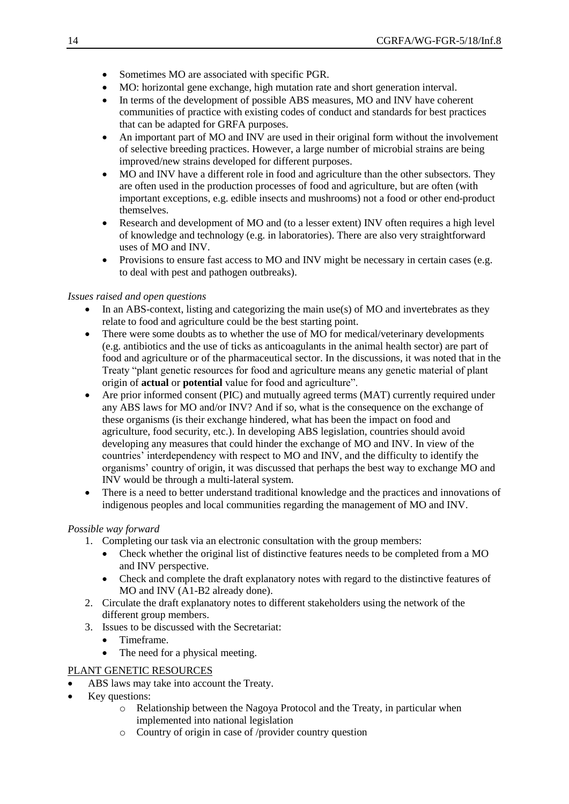- Sometimes MO are associated with specific PGR.
- MO: horizontal gene exchange, high mutation rate and short generation interval.
- In terms of the development of possible ABS measures, MO and INV have coherent communities of practice with existing codes of conduct and standards for best practices that can be adapted for GRFA purposes.
- An important part of MO and INV are used in their original form without the involvement of selective breeding practices. However, a large number of microbial strains are being improved/new strains developed for different purposes.
- MO and INV have a different role in food and agriculture than the other subsectors. They are often used in the production processes of food and agriculture, but are often (with important exceptions, e.g. edible insects and mushrooms) not a food or other end-product themselves.
- Research and development of MO and (to a lesser extent) INV often requires a high level of knowledge and technology (e.g. in laboratories). There are also very straightforward uses of MO and INV.
- Provisions to ensure fast access to MO and INV might be necessary in certain cases (e.g. to deal with pest and pathogen outbreaks).

## *Issues raised and open questions*

- In an ABS-context, listing and categorizing the main use(s) of MO and invertebrates as they relate to food and agriculture could be the best starting point.
- There were some doubts as to whether the use of MO for medical/veterinary developments (e.g. antibiotics and the use of ticks as anticoagulants in the animal health sector) are part of food and agriculture or of the pharmaceutical sector. In the discussions, it was noted that in the Treaty "plant genetic resources for food and agriculture means any genetic material of plant origin of **actual** or **potential** value for food and agriculture".
- Are prior informed consent (PIC) and mutually agreed terms (MAT) currently required under any ABS laws for MO and/or INV? And if so, what is the consequence on the exchange of these organisms (is their exchange hindered, what has been the impact on food and agriculture, food security, etc.). In developing ABS legislation, countries should avoid developing any measures that could hinder the exchange of MO and INV. In view of the countries' interdependency with respect to MO and INV, and the difficulty to identify the organisms' country of origin, it was discussed that perhaps the best way to exchange MO and INV would be through a multi-lateral system.
- There is a need to better understand traditional knowledge and the practices and innovations of indigenous peoples and local communities regarding the management of MO and INV.

#### *Possible way forward*

- 1. Completing our task via an electronic consultation with the group members:
	- Check whether the original list of distinctive features needs to be completed from a MO and INV perspective.
	- Check and complete the draft explanatory notes with regard to the distinctive features of MO and INV (A1-B2 already done).
- 2. Circulate the draft explanatory notes to different stakeholders using the network of the different group members.
- 3. Issues to be discussed with the Secretariat:
	- Timeframe.
	- The need for a physical meeting.

## PLANT GENETIC RESOURCES

- ABS laws may take into account the Treaty.
- Key questions:
	- o Relationship between the Nagoya Protocol and the Treaty, in particular when implemented into national legislation
	- o Country of origin in case of /provider country question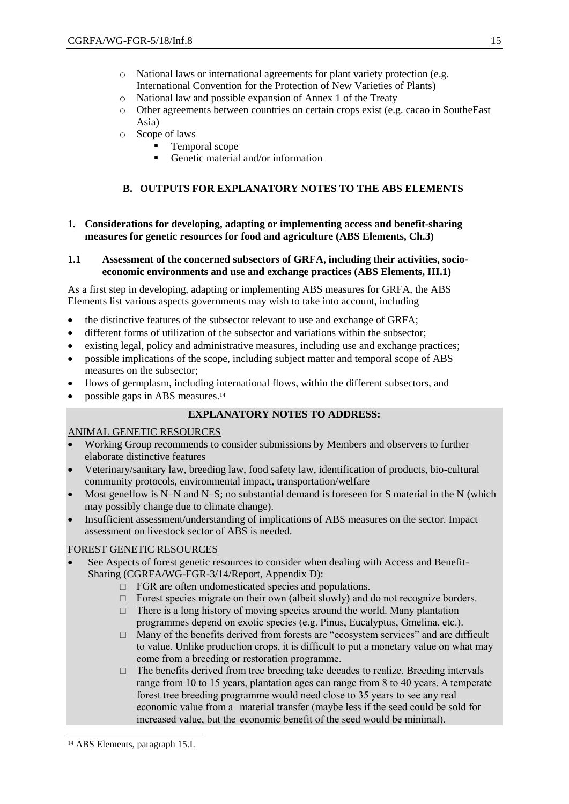- o National laws or international agreements for plant variety protection (e.g. International Convention for the Protection of New Varieties of Plants)
- o National law and possible expansion of Annex 1 of the Treaty
- o Other agreements between countries on certain crops exist (e.g. cacao in SoutheEast Asia)
- o Scope of laws
	- **Temporal scope**
	- Genetic material and/or information

## **B. OUTPUTS FOR EXPLANATORY NOTES TO THE ABS ELEMENTS**

#### **1. Considerations for developing, adapting or implementing access and benefit-sharing measures for genetic resources for food and agriculture (ABS Elements, Ch.3)**

#### **1.1 Assessment of the concerned subsectors of GRFA, including their activities, socioeconomic environments and use and exchange practices (ABS Elements, III.1)**

As a first step in developing, adapting or implementing ABS measures for GRFA, the ABS Elements list various aspects governments may wish to take into account, including

- the distinctive features of the subsector relevant to use and exchange of GRFA;
- different forms of utilization of the subsector and variations within the subsector;
- existing legal, policy and administrative measures, including use and exchange practices;
- possible implications of the scope, including subject matter and temporal scope of ABS measures on the subsector;
- flows of germplasm, including international flows, within the different subsectors, and
- possible gaps in ABS measures.<sup>14</sup>

# **EXPLANATORY NOTES TO ADDRESS:**

#### ANIMAL GENETIC RESOURCES

- Working Group recommends to consider submissions by Members and observers to further elaborate distinctive features
- Veterinary/sanitary law, breeding law, food safety law, identification of products, bio-cultural community protocols, environmental impact, transportation/welfare
- Most geneflow is N–N and N–S; no substantial demand is foreseen for S material in the N (which may possibly change due to climate change).
- Insufficient assessment/understanding of implications of ABS measures on the sector. Impact assessment on livestock sector of ABS is needed.

#### FOREST GENETIC RESOURCES

- See Aspects of forest genetic resources to consider when dealing with Access and Benefit-Sharing (CGRFA/WG-FGR-3/14/Report, Appendix D):
	- $\Box$  FGR are often undomesticated species and populations.
	- $\Box$  Forest species migrate on their own (albeit slowly) and do not recognize borders.
	- $\Box$  There is a long history of moving species around the world. Many plantation programmes depend on exotic species (e.g. Pinus, Eucalyptus, Gmelina, etc.).
	- $\Box$  Many of the benefits derived from forests are "ecosystem services" and are difficult to value. Unlike production crops, it is difficult to put a monetary value on what may come from a breeding or restoration programme.
	- $\Box$  The benefits derived from tree breeding take decades to realize. Breeding intervals range from 10 to 15 years, plantation ages can range from 8 to 40 years. A temperate forest tree breeding programme would need close to 35 years to see any real economic value from a material transfer (maybe less if the seed could be sold for increased value, but the economic benefit of the seed would be minimal).

 $\overline{a}$ 

<sup>14</sup> ABS Elements, paragraph 15.I.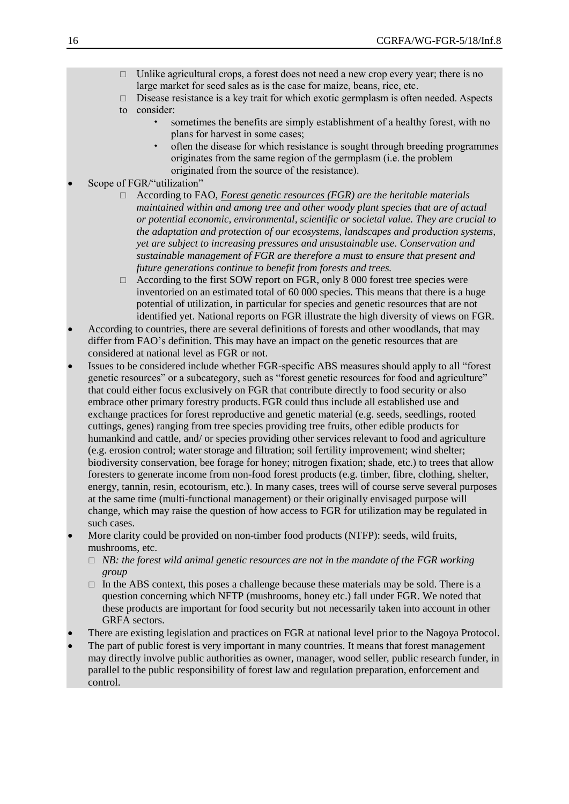- $\Box$  Unlike agricultural crops, a forest does not need a new crop every year; there is no large market for seed sales as is the case for maize, beans, rice, etc.
- $\Box$  Disease resistance is a key trait for which exotic germplasm is often needed. Aspects
- to consider:
	- sometimes the benefits are simply establishment of a healthy forest, with no plans for harvest in some cases;
	- often the disease for which resistance is sought through breeding programmes originates from the same region of the germplasm (i.e. the problem originated from the source of the resistance).
- Scope of FGR/"utilization"
	- □ According to FAO, *Forest genetic resources (FGR)* are the heritable materials *maintained within and among tree and other woody plant species that are of actual or potential economic, environmental, scientific or societal value. They are crucial to the adaptation and protection of our ecosystems, landscapes and production systems, yet are subject to increasing pressures and unsustainable use. Conservation and sustainable management of FGR are therefore a must to ensure that present and future generations continue to benefit from forests and trees.*
	- $\Box$  According to the first SOW report on FGR, only 8 000 forest tree species were inventoried on an estimated total of 60 000 species. This means that there is a huge potential of utilization, in particular for species and genetic resources that are not identified yet. National reports on FGR illustrate the high diversity of views on FGR.
- According to countries, there are several definitions of forests and other woodlands, that may differ from FAO's definition. This may have an impact on the genetic resources that are considered at national level as FGR or not.
- Issues to be considered include whether FGR-specific ABS measures should apply to all "forest genetic resources" or a subcategory, such as "forest genetic resources for food and agriculture" that could either focus exclusively on FGR that contribute directly to food security or also embrace other primary forestry products. FGR could thus include all established use and exchange practices for forest reproductive and genetic material (e.g. seeds, seedlings, rooted cuttings, genes) ranging from tree species providing tree fruits, other edible products for humankind and cattle, and/ or species providing other services relevant to food and agriculture (e.g. erosion control; water storage and filtration; soil fertility improvement; wind shelter; biodiversity conservation, bee forage for honey; nitrogen fixation; shade, etc.) to trees that allow foresters to generate income from non-food forest products (e.g. timber, fibre, clothing, shelter, energy, tannin, resin, ecotourism, etc.). In many cases, trees will of course serve several purposes at the same time (multi-functional management) or their originally envisaged purpose will change, which may raise the question of how access to FGR for utilization may be regulated in such cases.
- More clarity could be provided on non-timber food products (NTFP): seeds, wild fruits, mushrooms, etc.
	- $\Box$  *NB: the forest wild animal genetic resources are not in the mandate of the FGR working group*
	- $\Box$  In the ABS context, this poses a challenge because these materials may be sold. There is a question concerning which NFTP (mushrooms, honey etc.) fall under FGR. We noted that these products are important for food security but not necessarily taken into account in other GRFA sectors.
- There are existing legislation and practices on FGR at national level prior to the Nagoya Protocol.
- The part of public forest is very important in many countries. It means that forest management may directly involve public authorities as owner, manager, wood seller, public research funder, in parallel to the public responsibility of forest law and regulation preparation, enforcement and control.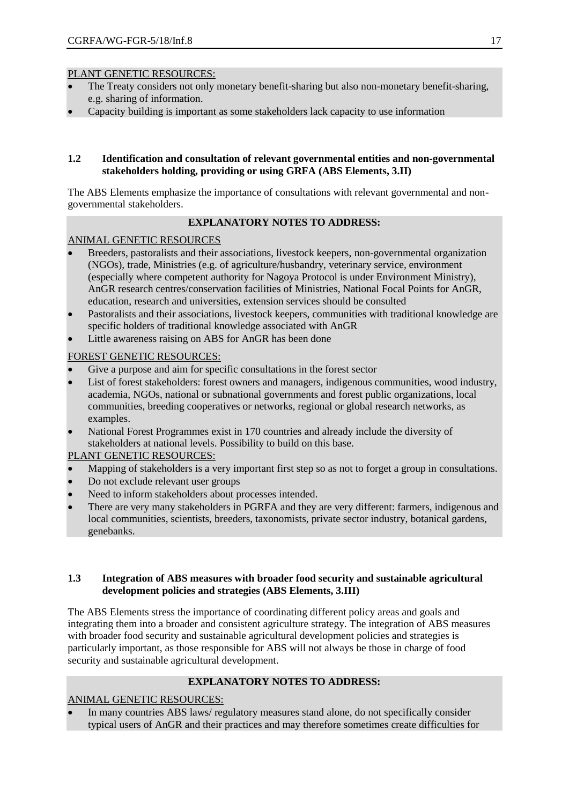- The Treaty considers not only monetary benefit-sharing but also non-monetary benefit-sharing, e.g. sharing of information.
- Capacity building is important as some stakeholders lack capacity to use information

#### **1.2 Identification and consultation of relevant governmental entities and non-governmental stakeholders holding, providing or using GRFA (ABS Elements, 3.II)**

The ABS Elements emphasize the importance of consultations with relevant governmental and nongovernmental stakeholders.

## **EXPLANATORY NOTES TO ADDRESS:**

## ANIMAL GENETIC RESOURCES

- Breeders, pastoralists and their associations, livestock keepers, non-governmental organization (NGOs), trade, Ministries (e.g. of agriculture/husbandry, veterinary service, environment (especially where competent authority for Nagoya Protocol is under Environment Ministry), AnGR research centres/conservation facilities of Ministries, National Focal Points for AnGR, education, research and universities, extension services should be consulted
- Pastoralists and their associations, livestock keepers, communities with traditional knowledge are specific holders of traditional knowledge associated with AnGR
- Little awareness raising on ABS for AnGR has been done

## FOREST GENETIC RESOURCES:

- Give a purpose and aim for specific consultations in the forest sector
- List of forest stakeholders: forest owners and managers, indigenous communities, wood industry, academia, NGOs, national or subnational governments and forest public organizations, local communities, breeding cooperatives or networks, regional or global research networks, as examples.
- National Forest Programmes exist in 170 countries and already include the diversity of stakeholders at national levels. Possibility to build on this base.

## PLANT GENETIC RESOURCES:

- Mapping of stakeholders is a very important first step so as not to forget a group in consultations.
- Do not exclude relevant user groups
- Need to inform stakeholders about processes intended.
- There are very many stakeholders in PGRFA and they are very different: farmers, indigenous and local communities, scientists, breeders, taxonomists, private sector industry, botanical gardens, genebanks.

## **1.3 Integration of ABS measures with broader food security and sustainable agricultural development policies and strategies (ABS Elements, 3.III)**

The ABS Elements stress the importance of coordinating different policy areas and goals and integrating them into a broader and consistent agriculture strategy. The integration of ABS measures with broader food security and sustainable agricultural development policies and strategies is particularly important, as those responsible for ABS will not always be those in charge of food security and sustainable agricultural development.

## **EXPLANATORY NOTES TO ADDRESS:**

## ANIMAL GENETIC RESOURCES:

 In many countries ABS laws/ regulatory measures stand alone, do not specifically consider typical users of AnGR and their practices and may therefore sometimes create difficulties for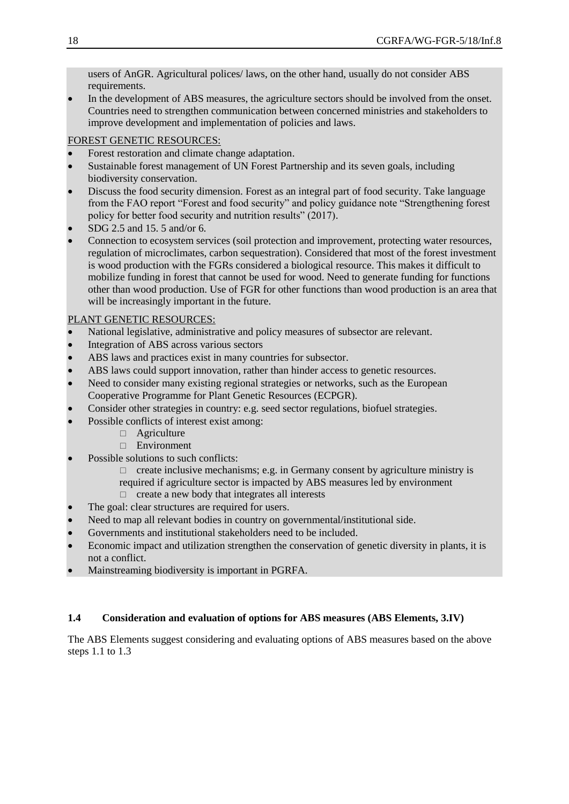users of AnGR. Agricultural polices/ laws, on the other hand, usually do not consider ABS requirements.

 In the development of ABS measures, the agriculture sectors should be involved from the onset. Countries need to strengthen communication between concerned ministries and stakeholders to improve development and implementation of policies and laws.

## FOREST GENETIC RESOURCES:

- Forest restoration and climate change adaptation.
- Sustainable forest management of UN Forest Partnership and its seven goals, including biodiversity conservation.
- Discuss the food security dimension. Forest as an integral part of food security. Take language from the FAO report "Forest and food security" and policy guidance note "Strengthening forest policy for better food security and nutrition results" (2017).
- SDG 2.5 and 15. 5 and/or 6.
- Connection to ecosystem services (soil protection and improvement, protecting water resources, regulation of microclimates, carbon sequestration). Considered that most of the forest investment is wood production with the FGRs considered a biological resource. This makes it difficult to mobilize funding in forest that cannot be used for wood. Need to generate funding for functions other than wood production. Use of FGR for other functions than wood production is an area that will be increasingly important in the future.

## PLANT GENETIC RESOURCES:

- National legislative, administrative and policy measures of subsector are relevant.
- Integration of ABS across various sectors
- ABS laws and practices exist in many countries for subsector.
- ABS laws could support innovation, rather than hinder access to genetic resources.
- Need to consider many existing regional strategies or networks, such as the European Cooperative Programme for Plant Genetic Resources (ECPGR).
- Consider other strategies in country: e.g. seed sector regulations, biofuel strategies.
- Possible conflicts of interest exist among:
	- $\Box$  Agriculture
	- □ Environment
- Possible solutions to such conflicts:
	- $\Box$  create inclusive mechanisms; e.g. in Germany consent by agriculture ministry is
	- required if agriculture sector is impacted by ABS measures led by environment
	- $\Box$  create a new body that integrates all interests
- The goal: clear structures are required for users.
- Need to map all relevant bodies in country on governmental/institutional side.
- Governments and institutional stakeholders need to be included.
- Economic impact and utilization strengthen the conservation of genetic diversity in plants, it is not a conflict.
- Mainstreaming biodiversity is important in PGRFA.

## **1.4 Consideration and evaluation of options for ABS measures (ABS Elements, 3.IV)**

The ABS Elements suggest considering and evaluating options of ABS measures based on the above steps 1.1 to 1.3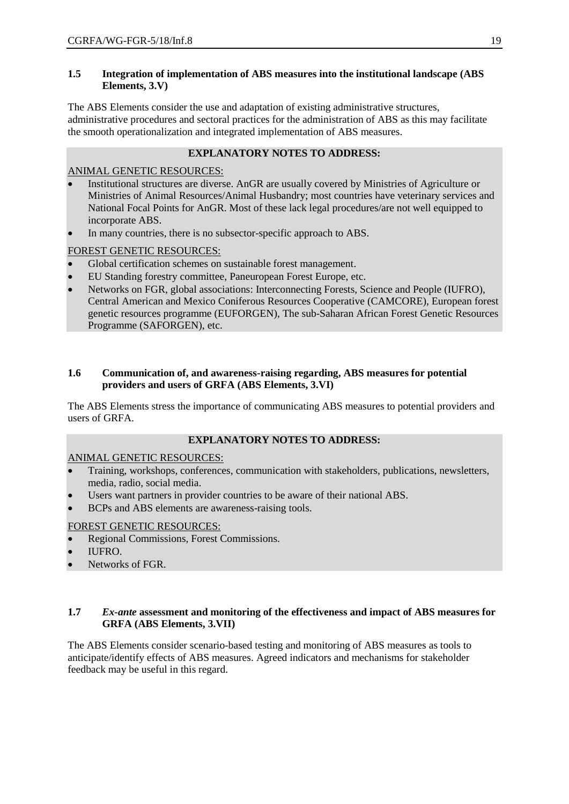## **1.5 Integration of implementation of ABS measures into the institutional landscape (ABS Elements, 3.V)**

The ABS Elements consider the use and adaptation of existing administrative structures, administrative procedures and sectoral practices for the administration of ABS as this may facilitate the smooth operationalization and integrated implementation of ABS measures.

## **EXPLANATORY NOTES TO ADDRESS:**

## ANIMAL GENETIC RESOURCES:

- Institutional structures are diverse. AnGR are usually covered by Ministries of Agriculture or Ministries of Animal Resources/Animal Husbandry; most countries have veterinary services and National Focal Points for AnGR. Most of these lack legal procedures/are not well equipped to incorporate ABS.
- In many countries, there is no subsector-specific approach to ABS.

# FOREST GENETIC RESOURCES:

- Global certification schemes on sustainable forest management.
- EU Standing forestry committee, Paneuropean Forest Europe, etc.
- Networks on FGR, global associations: Interconnecting Forests, Science and People (IUFRO), Central American and Mexico Coniferous Resources Cooperative (CAMCORE), European forest genetic resources programme (EUFORGEN), The sub-Saharan African Forest Genetic Resources Programme (SAFORGEN), etc.

## **1.6 Communication of, and awareness-raising regarding, ABS measures for potential providers and users of GRFA (ABS Elements, 3.VI)**

The ABS Elements stress the importance of communicating ABS measures to potential providers and users of GRFA.

# **EXPLANATORY NOTES TO ADDRESS:**

## ANIMAL GENETIC RESOURCES:

- Training, workshops, conferences, communication with stakeholders, publications, newsletters, media, radio, social media.
- Users want partners in provider countries to be aware of their national ABS.
- BCPs and ABS elements are awareness-raising tools.

## FOREST GENETIC RESOURCES:

- Regional Commissions, Forest Commissions.
- IUFRO.
- Networks of FGR.

## **1.7** *Ex-ante* **assessment and monitoring of the effectiveness and impact of ABS measures for GRFA (ABS Elements, 3.VII)**

The ABS Elements consider scenario-based testing and monitoring of ABS measures as tools to anticipate/identify effects of ABS measures. Agreed indicators and mechanisms for stakeholder feedback may be useful in this regard.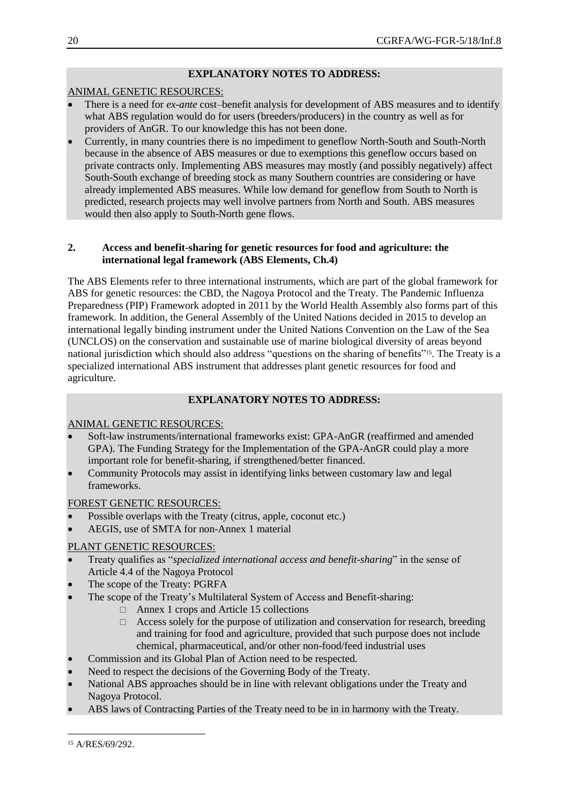# **EXPLANATORY NOTES TO ADDRESS:**

## ANIMAL GENETIC RESOURCES:

- There is a need for *ex-ante* cost–benefit analysis for development of ABS measures and to identify what ABS regulation would do for users (breeders/producers) in the country as well as for providers of AnGR. To our knowledge this has not been done.
- Currently, in many countries there is no impediment to geneflow North-South and South-North because in the absence of ABS measures or due to exemptions this geneflow occurs based on private contracts only. Implementing ABS measures may mostly (and possibly negatively) affect South-South exchange of breeding stock as many Southern countries are considering or have already implemented ABS measures. While low demand for geneflow from South to North is predicted, research projects may well involve partners from North and South. ABS measures would then also apply to South-North gene flows.

## **2. Access and benefit-sharing for genetic resources for food and agriculture: the international legal framework (ABS Elements, Ch.4)**

The ABS Elements refer to three international instruments, which are part of the global framework for ABS for genetic resources: the CBD, the Nagoya Protocol and the Treaty. The Pandemic Influenza Preparedness (PIP) Framework adopted in 2011 by the World Health Assembly also forms part of this framework. In addition, the General Assembly of the United Nations decided in 2015 to develop an international legally binding instrument under the United Nations Convention on the Law of the Sea (UNCLOS) on the conservation and sustainable use of marine biological diversity of areas beyond national jurisdiction which should also address "questions on the sharing of benefits"<sup>15</sup>. The Treaty is a specialized international ABS instrument that addresses plant genetic resources for food and agriculture.

## **EXPLANATORY NOTES TO ADDRESS:**

## ANIMAL GENETIC RESOURCES:

- Soft-law instruments/international frameworks exist: GPA-AnGR (reaffirmed and amended GPA). The Funding Strategy for the Implementation of the GPA-AnGR could play a more important role for benefit-sharing, if strengthened/better financed.
- Community Protocols may assist in identifying links between customary law and legal frameworks.

## FOREST GENETIC RESOURCES:

- Possible overlaps with the Treaty (citrus, apple, coconut etc.)
- AEGIS, use of SMTA for non-Annex 1 material

# PLANT GENETIC RESOURCES:

- Treaty qualifies as "*specialized international access and benefit-sharing*" in the sense of Article 4.4 of the Nagoya Protocol
- The scope of the Treaty: PGRFA
- The scope of the Treaty's Multilateral System of Access and Benefit-sharing:
	- $\Box$  Annex 1 crops and Article 15 collections
	- $\Box$  Access solely for the purpose of utilization and conservation for research, breeding and training for food and agriculture, provided that such purpose does not include chemical, pharmaceutical, and/or other non-food/feed industrial uses
- Commission and its Global Plan of Action need to be respected.
- Need to respect the decisions of the Governing Body of the Treaty.
- National ABS approaches should be in line with relevant obligations under the Treaty and Nagoya Protocol.
- ABS laws of Contracting Parties of the Treaty need to be in in harmony with the Treaty.

 $\overline{a}$ <sup>15</sup> A/RES/69/292.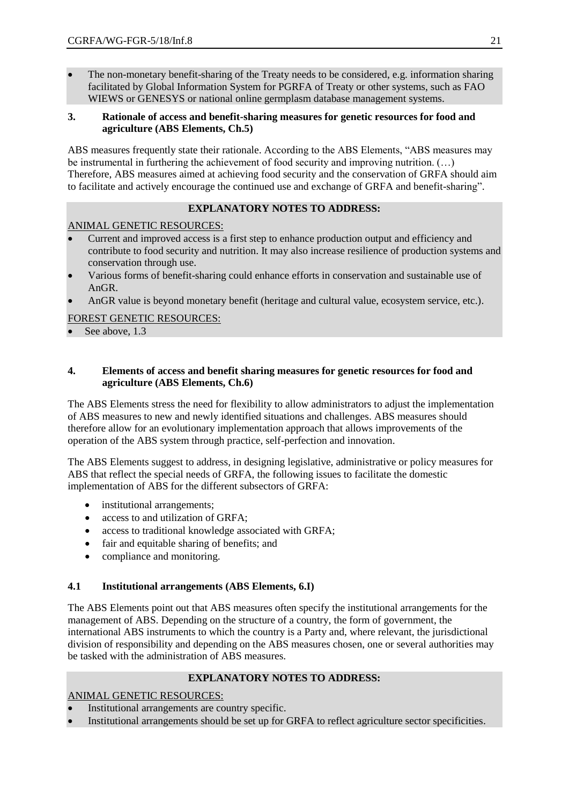The non-monetary benefit-sharing of the Treaty needs to be considered, e.g. information sharing facilitated by Global Information System for PGRFA of Treaty or other systems, such as FAO WIEWS or GENESYS or national online germplasm database management systems.

## **3. Rationale of access and benefit-sharing measures for genetic resources for food and agriculture (ABS Elements, Ch.5)**

ABS measures frequently state their rationale. According to the ABS Elements, "ABS measures may be instrumental in furthering the achievement of food security and improving nutrition. (…) Therefore, ABS measures aimed at achieving food security and the conservation of GRFA should aim to facilitate and actively encourage the continued use and exchange of GRFA and benefit-sharing".

## **EXPLANATORY NOTES TO ADDRESS:**

## ANIMAL GENETIC RESOURCES:

- Current and improved access is a first step to enhance production output and efficiency and contribute to food security and nutrition. It may also increase resilience of production systems and conservation through use.
- Various forms of benefit-sharing could enhance efforts in conservation and sustainable use of AnGR.
- AnGR value is beyond monetary benefit (heritage and cultural value, ecosystem service, etc.).

## FOREST GENETIC RESOURCES:

See above, 1.3

#### **4. Elements of access and benefit sharing measures for genetic resources for food and agriculture (ABS Elements, Ch.6)**

The ABS Elements stress the need for flexibility to allow administrators to adjust the implementation of ABS measures to new and newly identified situations and challenges. ABS measures should therefore allow for an evolutionary implementation approach that allows improvements of the operation of the ABS system through practice, self-perfection and innovation.

The ABS Elements suggest to address, in designing legislative, administrative or policy measures for ABS that reflect the special needs of GRFA, the following issues to facilitate the domestic implementation of ABS for the different subsectors of GRFA:

- institutional arrangements;
- access to and utilization of GRFA:
- access to traditional knowledge associated with GRFA;
- fair and equitable sharing of benefits; and
- compliance and monitoring.

#### **4.1 Institutional arrangements (ABS Elements, 6.I)**

The ABS Elements point out that ABS measures often specify the institutional arrangements for the management of ABS. Depending on the structure of a country, the form of government, the international ABS instruments to which the country is a Party and, where relevant, the jurisdictional division of responsibility and depending on the ABS measures chosen, one or several authorities may be tasked with the administration of ABS measures.

#### **EXPLANATORY NOTES TO ADDRESS:**

ANIMAL GENETIC RESOURCES:

- Institutional arrangements are country specific.
- Institutional arrangements should be set up for GRFA to reflect agriculture sector specificities.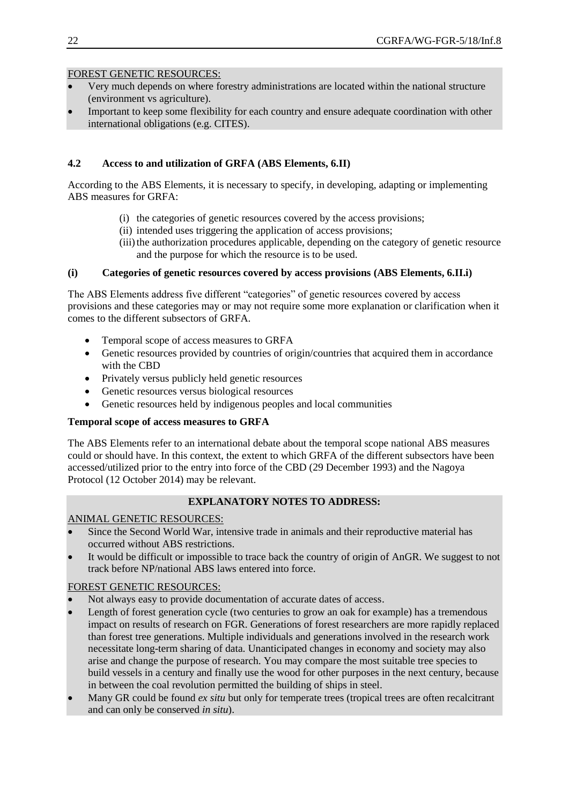## FOREST GENETIC RESOURCES:

- Very much depends on where forestry administrations are located within the national structure (environment vs agriculture).
- Important to keep some flexibility for each country and ensure adequate coordination with other international obligations (e.g. CITES).

## **4.2 Access to and utilization of GRFA (ABS Elements, 6.II)**

According to the ABS Elements, it is necessary to specify, in developing, adapting or implementing ABS measures for GRFA:

- (i) the categories of genetic resources covered by the access provisions;
- (ii) intended uses triggering the application of access provisions;
- (iii) the authorization procedures applicable, depending on the category of genetic resource and the purpose for which the resource is to be used.

## **(i) Categories of genetic resources covered by access provisions (ABS Elements, 6.II.i)**

The ABS Elements address five different "categories" of genetic resources covered by access provisions and these categories may or may not require some more explanation or clarification when it comes to the different subsectors of GRFA.

- Temporal scope of access measures to GRFA
- Genetic resources provided by countries of origin/countries that acquired them in accordance with the CBD
- Privately versus publicly held genetic resources
- Genetic resources versus biological resources
- Genetic resources held by indigenous peoples and local communities

#### **Temporal scope of access measures to GRFA**

The ABS Elements refer to an international debate about the temporal scope national ABS measures could or should have. In this context, the extent to which GRFA of the different subsectors have been accessed/utilized prior to the entry into force of the CBD (29 December 1993) and the Nagoya Protocol (12 October 2014) may be relevant.

## **EXPLANATORY NOTES TO ADDRESS:**

#### ANIMAL GENETIC RESOURCES:

- Since the Second World War, intensive trade in animals and their reproductive material has occurred without ABS restrictions.
- It would be difficult or impossible to trace back the country of origin of AnGR. We suggest to not track before NP/national ABS laws entered into force.

## FOREST GENETIC RESOURCES:

- Not always easy to provide documentation of accurate dates of access.
- Length of forest generation cycle (two centuries to grow an oak for example) has a tremendous impact on results of research on FGR. Generations of forest researchers are more rapidly replaced than forest tree generations. Multiple individuals and generations involved in the research work necessitate long-term sharing of data. Unanticipated changes in economy and society may also arise and change the purpose of research. You may compare the most suitable tree species to build vessels in a century and finally use the wood for other purposes in the next century, because in between the coal revolution permitted the building of ships in steel.
- Many GR could be found *ex situ* but only for temperate trees (tropical trees are often recalcitrant and can only be conserved *in situ*).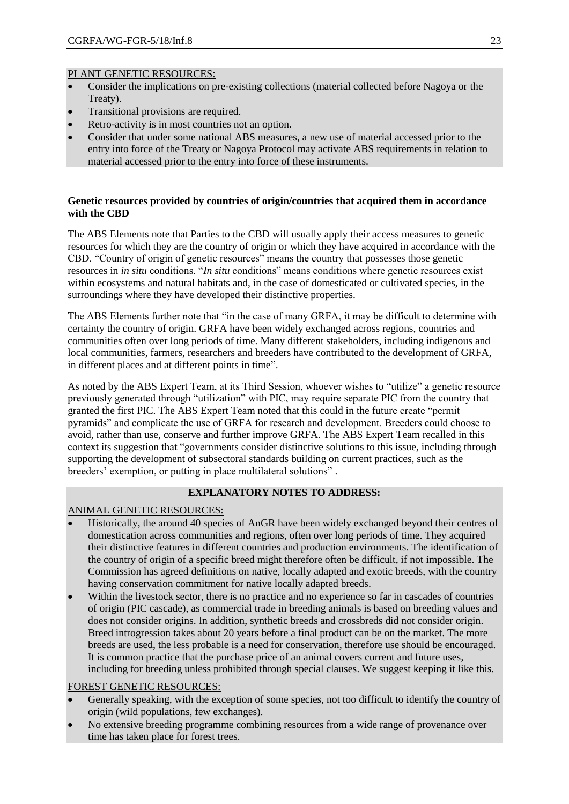- Consider the implications on pre-existing collections (material collected before Nagoya or the Treaty).
- Transitional provisions are required.
- Retro-activity is in most countries not an option.
- Consider that under some national ABS measures, a new use of material accessed prior to the entry into force of the Treaty or Nagoya Protocol may activate ABS requirements in relation to material accessed prior to the entry into force of these instruments.

## **Genetic resources provided by countries of origin/countries that acquired them in accordance with the CBD**

The ABS Elements note that Parties to the CBD will usually apply their access measures to genetic resources for which they are the country of origin or which they have acquired in accordance with the CBD. "Country of origin of genetic resources" means the country that possesses those genetic resources in *in situ* conditions. "*In situ* conditions" means conditions where genetic resources exist within ecosystems and natural habitats and, in the case of domesticated or cultivated species, in the surroundings where they have developed their distinctive properties.

The ABS Elements further note that "in the case of many GRFA, it may be difficult to determine with certainty the country of origin. GRFA have been widely exchanged across regions, countries and communities often over long periods of time. Many different stakeholders, including indigenous and local communities, farmers, researchers and breeders have contributed to the development of GRFA, in different places and at different points in time".

As noted by the ABS Expert Team, at its Third Session, whoever wishes to "utilize" a genetic resource previously generated through "utilization" with PIC, may require separate PIC from the country that granted the first PIC. The ABS Expert Team noted that this could in the future create "permit pyramids" and complicate the use of GRFA for research and development. Breeders could choose to avoid, rather than use, conserve and further improve GRFA. The ABS Expert Team recalled in this context its suggestion that "governments consider distinctive solutions to this issue, including through supporting the development of subsectoral standards building on current practices, such as the breeders' exemption, or putting in place multilateral solutions" .

## **EXPLANATORY NOTES TO ADDRESS:**

## ANIMAL GENETIC RESOURCES:

- Historically, the around 40 species of AnGR have been widely exchanged beyond their centres of domestication across communities and regions, often over long periods of time. They acquired their distinctive features in different countries and production environments. The identification of the country of origin of a specific breed might therefore often be difficult, if not impossible. The Commission has agreed definitions on native, locally adapted and exotic breeds, with the country having conservation commitment for native locally adapted breeds.
- Within the livestock sector, there is no practice and no experience so far in cascades of countries of origin (PIC cascade), as commercial trade in breeding animals is based on breeding values and does not consider origins. In addition, synthetic breeds and crossbreds did not consider origin. Breed introgression takes about 20 years before a final product can be on the market. The more breeds are used, the less probable is a need for conservation, therefore use should be encouraged. It is common practice that the purchase price of an animal covers current and future uses, including for breeding unless prohibited through special clauses. We suggest keeping it like this.

## FOREST GENETIC RESOURCES:

- Generally speaking, with the exception of some species, not too difficult to identify the country of origin (wild populations, few exchanges).
- No extensive breeding programme combining resources from a wide range of provenance over time has taken place for forest trees.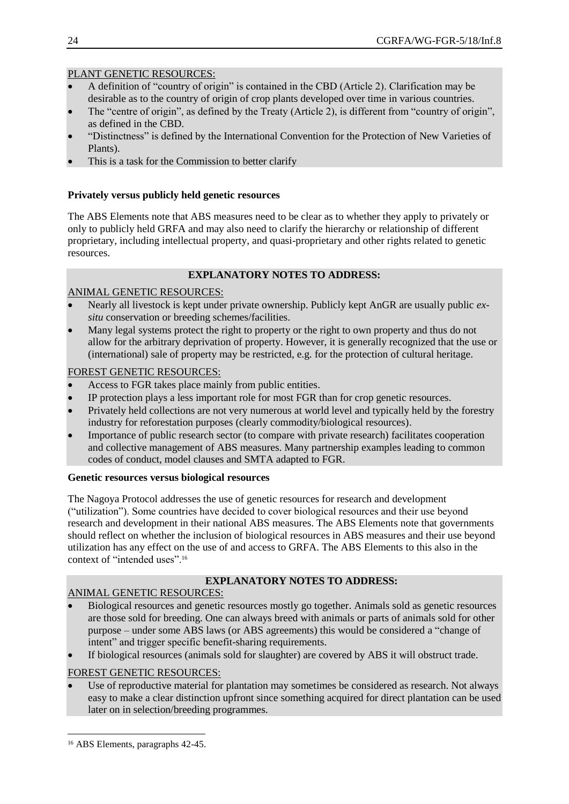- A definition of "country of origin" is contained in the CBD (Article 2). Clarification may be desirable as to the country of origin of crop plants developed over time in various countries.
- The "centre of origin", as defined by the Treaty (Article 2), is different from "country of origin", as defined in the CBD.
- "Distinctness" is defined by the International Convention for the Protection of New Varieties of Plants).
- This is a task for the Commission to better clarify

### **Privately versus publicly held genetic resources**

The ABS Elements note that ABS measures need to be clear as to whether they apply to privately or only to publicly held GRFA and may also need to clarify the hierarchy or relationship of different proprietary, including intellectual property, and quasi-proprietary and other rights related to genetic resources.

## **EXPLANATORY NOTES TO ADDRESS:**

## ANIMAL GENETIC RESOURCES:

- Nearly all livestock is kept under private ownership. Publicly kept AnGR are usually public *exsitu* conservation or breeding schemes/facilities.
- Many legal systems protect the right to property or the right to own property and thus do not allow for the arbitrary deprivation of property. However, it is generally recognized that the use or (international) sale of property may be restricted, e.g. for the protection of cultural heritage.

## FOREST GENETIC RESOURCES:

- Access to FGR takes place mainly from public entities.
- IP protection plays a less important role for most FGR than for crop genetic resources.
- Privately held collections are not very numerous at world level and typically held by the forestry industry for reforestation purposes (clearly commodity/biological resources).
- Importance of public research sector (to compare with private research) facilitates cooperation and collective management of ABS measures. Many partnership examples leading to common codes of conduct, model clauses and SMTA adapted to FGR.

#### **Genetic resources versus biological resources**

The Nagoya Protocol addresses the use of genetic resources for research and development ("utilization"). Some countries have decided to cover biological resources and their use beyond research and development in their national ABS measures. The ABS Elements note that governments should reflect on whether the inclusion of biological resources in ABS measures and their use beyond utilization has any effect on the use of and access to GRFA. The ABS Elements to this also in the context of "intended uses".<sup>16</sup>

# **EXPLANATORY NOTES TO ADDRESS:**

## ANIMAL GENETIC RESOURCES:

- Biological resources and genetic resources mostly go together. Animals sold as genetic resources are those sold for breeding. One can always breed with animals or parts of animals sold for other purpose – under some ABS laws (or ABS agreements) this would be considered a "change of intent" and trigger specific benefit-sharing requirements.
- If biological resources (animals sold for slaughter) are covered by ABS it will obstruct trade.

## FOREST GENETIC RESOURCES:

 Use of reproductive material for plantation may sometimes be considered as research. Not always easy to make a clear distinction upfront since something acquired for direct plantation can be used later on in selection/breeding programmes.

 $\overline{a}$ <sup>16</sup> ABS Elements, paragraphs 42-45.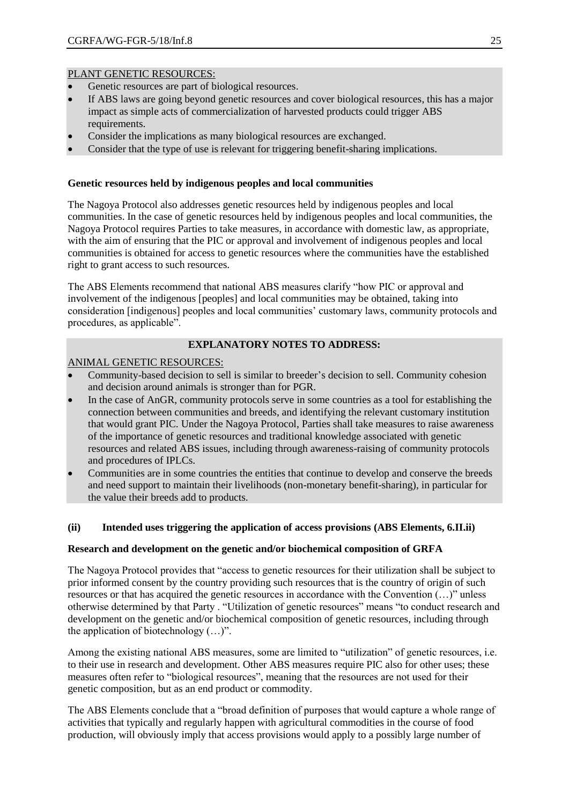- Genetic resources are part of biological resources.
- If ABS laws are going beyond genetic resources and cover biological resources, this has a major impact as simple acts of commercialization of harvested products could trigger ABS requirements.
- Consider the implications as many biological resources are exchanged.
- Consider that the type of use is relevant for triggering benefit-sharing implications.

#### **Genetic resources held by indigenous peoples and local communities**

The Nagoya Protocol also addresses genetic resources held by indigenous peoples and local communities. In the case of genetic resources held by indigenous peoples and local communities, the Nagoya Protocol requires Parties to take measures, in accordance with domestic law, as appropriate, with the aim of ensuring that the PIC or approval and involvement of indigenous peoples and local communities is obtained for access to genetic resources where the communities have the established right to grant access to such resources.

The ABS Elements recommend that national ABS measures clarify "how PIC or approval and involvement of the indigenous [peoples] and local communities may be obtained, taking into consideration [indigenous] peoples and local communities' customary laws, community protocols and procedures, as applicable".

## **EXPLANATORY NOTES TO ADDRESS:**

#### ANIMAL GENETIC RESOURCES:

- Community-based decision to sell is similar to breeder's decision to sell. Community cohesion and decision around animals is stronger than for PGR.
- In the case of AnGR, community protocols serve in some countries as a tool for establishing the connection between communities and breeds, and identifying the relevant customary institution that would grant PIC. Under the Nagoya Protocol, Parties shall take measures to raise awareness of the importance of genetic resources and traditional knowledge associated with genetic resources and related ABS issues, including through awareness-raising of community protocols and procedures of IPLCs.
- Communities are in some countries the entities that continue to develop and conserve the breeds and need support to maintain their livelihoods (non-monetary benefit-sharing), in particular for the value their breeds add to products.

#### **(ii) Intended uses triggering the application of access provisions (ABS Elements, 6.II.ii)**

#### **Research and development on the genetic and/or biochemical composition of GRFA**

The Nagoya Protocol provides that "access to genetic resources for their utilization shall be subject to prior informed consent by the country providing such resources that is the country of origin of such resources or that has acquired the genetic resources in accordance with the Convention (…)" unless otherwise determined by that Party . "Utilization of genetic resources" means "to conduct research and development on the genetic and/or biochemical composition of genetic resources, including through the application of biotechnology (…)".

Among the existing national ABS measures, some are limited to "utilization" of genetic resources, i.e. to their use in research and development. Other ABS measures require PIC also for other uses; these measures often refer to "biological resources", meaning that the resources are not used for their genetic composition, but as an end product or commodity.

The ABS Elements conclude that a "broad definition of purposes that would capture a whole range of activities that typically and regularly happen with agricultural commodities in the course of food production, will obviously imply that access provisions would apply to a possibly large number of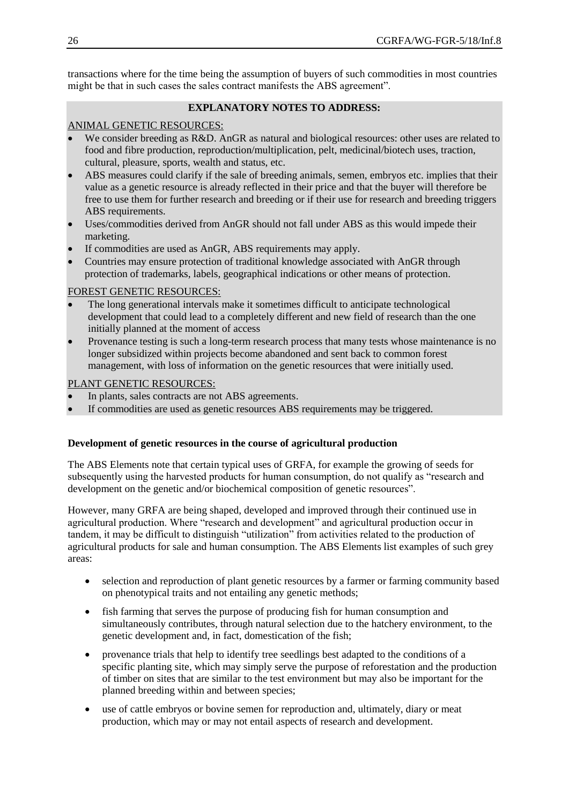transactions where for the time being the assumption of buyers of such commodities in most countries might be that in such cases the sales contract manifests the ABS agreement".

## **EXPLANATORY NOTES TO ADDRESS:**

## ANIMAL GENETIC RESOURCES:

- We consider breeding as R&D. AnGR as natural and biological resources: other uses are related to food and fibre production, reproduction/multiplication, pelt, medicinal/biotech uses, traction, cultural, pleasure, sports, wealth and status, etc.
- ABS measures could clarify if the sale of breeding animals, semen, embryos etc. implies that their value as a genetic resource is already reflected in their price and that the buyer will therefore be free to use them for further research and breeding or if their use for research and breeding triggers ABS requirements.
- Uses/commodities derived from AnGR should not fall under ABS as this would impede their marketing.
- If commodities are used as AnGR, ABS requirements may apply.
- Countries may ensure protection of traditional knowledge associated with AnGR through protection of trademarks, labels, geographical indications or other means of protection.

## FOREST GENETIC RESOURCES:

- The long generational intervals make it sometimes difficult to anticipate technological development that could lead to a completely different and new field of research than the one initially planned at the moment of access
- Provenance testing is such a long-term research process that many tests whose maintenance is no longer subsidized within projects become abandoned and sent back to common forest management, with loss of information on the genetic resources that were initially used.

## PLANT GENETIC RESOURCES:

- In plants, sales contracts are not ABS agreements.
- If commodities are used as genetic resources ABS requirements may be triggered.

#### **Development of genetic resources in the course of agricultural production**

The ABS Elements note that certain typical uses of GRFA, for example the growing of seeds for subsequently using the harvested products for human consumption, do not qualify as "research and development on the genetic and/or biochemical composition of genetic resources".

However, many GRFA are being shaped, developed and improved through their continued use in agricultural production. Where "research and development" and agricultural production occur in tandem, it may be difficult to distinguish "utilization" from activities related to the production of agricultural products for sale and human consumption. The ABS Elements list examples of such grey areas:

- selection and reproduction of plant genetic resources by a farmer or farming community based on phenotypical traits and not entailing any genetic methods;
- fish farming that serves the purpose of producing fish for human consumption and simultaneously contributes, through natural selection due to the hatchery environment, to the genetic development and, in fact, domestication of the fish;
- provenance trials that help to identify tree seedlings best adapted to the conditions of a specific planting site, which may simply serve the purpose of reforestation and the production of timber on sites that are similar to the test environment but may also be important for the planned breeding within and between species;
- use of cattle embryos or bovine semen for reproduction and, ultimately, diary or meat production, which may or may not entail aspects of research and development.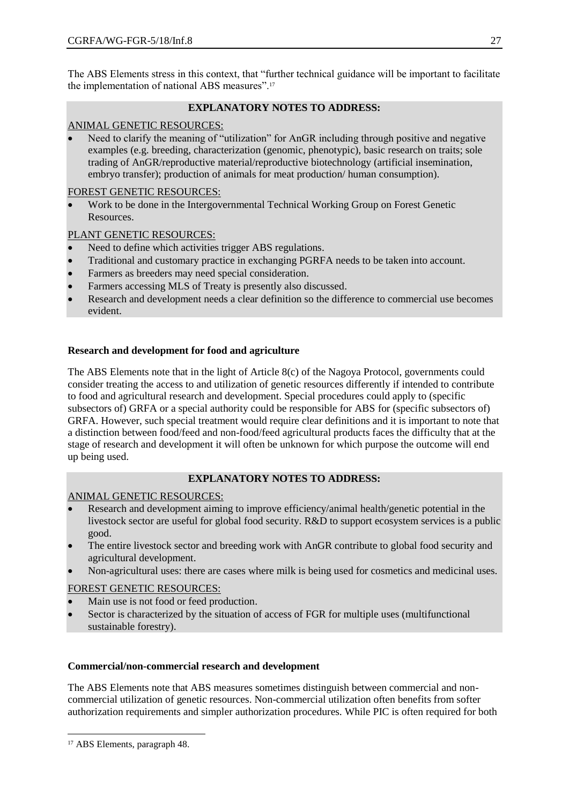The ABS Elements stress in this context, that "further technical guidance will be important to facilitate the implementation of national ABS measures".<sup>17</sup>

# **EXPLANATORY NOTES TO ADDRESS:**

# ANIMAL GENETIC RESOURCES:

 Need to clarify the meaning of "utilization" for AnGR including through positive and negative examples (e.g. breeding, characterization (genomic, phenotypic), basic research on traits; sole trading of AnGR/reproductive material/reproductive biotechnology (artificial insemination, embryo transfer); production of animals for meat production/ human consumption).

## FOREST GENETIC RESOURCES:

 Work to be done in the Intergovernmental Technical Working Group on Forest Genetic Resources.

# PLANT GENETIC RESOURCES:

- Need to define which activities trigger ABS regulations.
- Traditional and customary practice in exchanging PGRFA needs to be taken into account.
- Farmers as breeders may need special consideration.
- Farmers accessing MLS of Treaty is presently also discussed.
- Research and development needs a clear definition so the difference to commercial use becomes evident.

# **Research and development for food and agriculture**

The ABS Elements note that in the light of Article 8(c) of the Nagoya Protocol, governments could consider treating the access to and utilization of genetic resources differently if intended to contribute to food and agricultural research and development. Special procedures could apply to (specific subsectors of) GRFA or a special authority could be responsible for ABS for (specific subsectors of) GRFA. However, such special treatment would require clear definitions and it is important to note that a distinction between food/feed and non-food/feed agricultural products faces the difficulty that at the stage of research and development it will often be unknown for which purpose the outcome will end up being used.

## **EXPLANATORY NOTES TO ADDRESS:**

## ANIMAL GENETIC RESOURCES:

- Research and development aiming to improve efficiency/animal health/genetic potential in the livestock sector are useful for global food security. R&D to support ecosystem services is a public good.
- The entire livestock sector and breeding work with AnGR contribute to global food security and agricultural development.
- Non-agricultural uses: there are cases where milk is being used for cosmetics and medicinal uses.

# FOREST GENETIC RESOURCES:

- Main use is not food or feed production.
- Sector is characterized by the situation of access of FGR for multiple uses (multifunctional sustainable forestry).

## **Commercial/non-commercial research and development**

The ABS Elements note that ABS measures sometimes distinguish between commercial and noncommercial utilization of genetic resources. Non-commercial utilization often benefits from softer authorization requirements and simpler authorization procedures. While PIC is often required for both

 $\overline{a}$ 

<sup>&</sup>lt;sup>17</sup> ABS Elements, paragraph 48.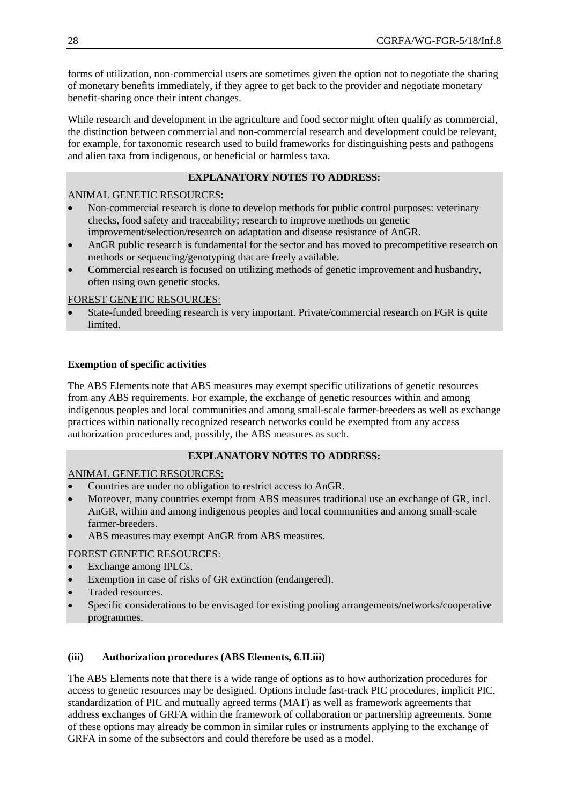forms of utilization, non-commercial users are sometimes given the option not to negotiate the sharing of monetary benefits immediately, if they agree to get back to the provider and negotiate monetary benefit-sharing once their intent changes.

While research and development in the agriculture and food sector might often qualify as commercial, the distinction between commercial and non-commercial research and development could be relevant, for example, for taxonomic research used to build frameworks for distinguishing pests and pathogens and alien taxa from indigenous, or beneficial or harmless taxa.

## **EXPLANATORY NOTES TO ADDRESS:**

## ANIMAL GENETIC RESOURCES:

- Non-commercial research is done to develop methods for public control purposes: veterinary checks, food safety and traceability; research to improve methods on genetic improvement/selection/research on adaptation and disease resistance of AnGR.
- AnGR public research is fundamental for the sector and has moved to precompetitive research on methods or sequencing/genotyping that are freely available.
- Commercial research is focused on utilizing methods of genetic improvement and husbandry, often using own genetic stocks.

## FOREST GENETIC RESOURCES:

 State-funded breeding research is very important. Private/commercial research on FGR is quite limited.

## **Exemption of specific activities**

The ABS Elements note that ABS measures may exempt specific utilizations of genetic resources from any ABS requirements. For example, the exchange of genetic resources within and among indigenous peoples and local communities and among small-scale farmer-breeders as well as exchange practices within nationally recognized research networks could be exempted from any access authorization procedures and, possibly, the ABS measures as such.

## **EXPLANATORY NOTES TO ADDRESS:**

ANIMAL GENETIC RESOURCES:

- Countries are under no obligation to restrict access to AnGR.
- Moreover, many countries exempt from ABS measures traditional use an exchange of GR, incl. AnGR, within and among indigenous peoples and local communities and among small-scale farmer-breeders.
- ABS measures may exempt AnGR from ABS measures.

# FOREST GENETIC RESOURCES:

- Exchange among IPLCs.
- Exemption in case of risks of GR extinction (endangered).
- Traded resources.
- Specific considerations to be envisaged for existing pooling arrangements/networks/cooperative programmes.

## **(iii) Authorization procedures (ABS Elements, 6.II.iii)**

The ABS Elements note that there is a wide range of options as to how authorization procedures for access to genetic resources may be designed. Options include fast-track PIC procedures, implicit PIC, standardization of PIC and mutually agreed terms (MAT) as well as framework agreements that address exchanges of GRFA within the framework of collaboration or partnership agreements. Some of these options may already be common in similar rules or instruments applying to the exchange of GRFA in some of the subsectors and could therefore be used as a model.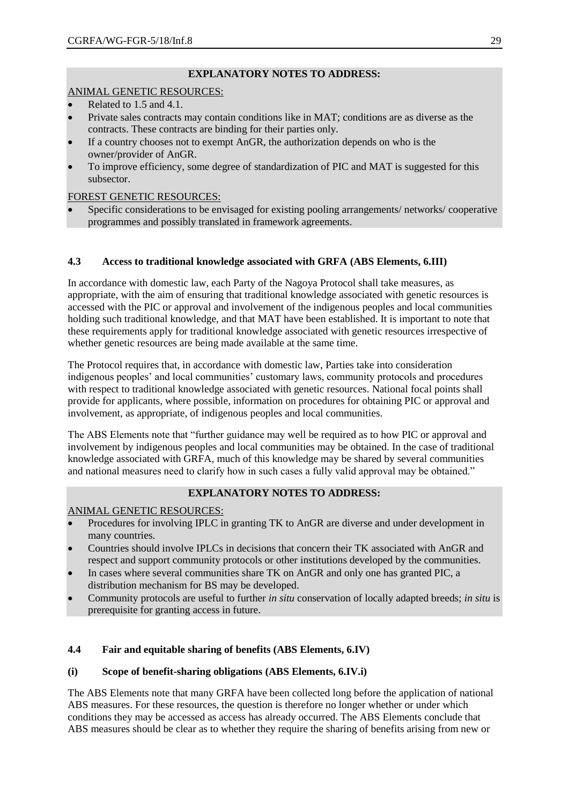# **EXPLANATORY NOTES TO ADDRESS:**

## ANIMAL GENETIC RESOURCES:

- Related to 1.5 and 4.1.
- Private sales contracts may contain conditions like in MAT; conditions are as diverse as the contracts. These contracts are binding for their parties only.
- If a country chooses not to exempt AnGR, the authorization depends on who is the owner/provider of AnGR.
- To improve efficiency, some degree of standardization of PIC and MAT is suggested for this subsector.

## FOREST GENETIC RESOURCES:

 Specific considerations to be envisaged for existing pooling arrangements/ networks/ cooperative programmes and possibly translated in framework agreements.

# **4.3 Access to traditional knowledge associated with GRFA (ABS Elements, 6.III)**

In accordance with domestic law, each Party of the Nagoya Protocol shall take measures, as appropriate, with the aim of ensuring that traditional knowledge associated with genetic resources is accessed with the PIC or approval and involvement of the indigenous peoples and local communities holding such traditional knowledge, and that MAT have been established. It is important to note that these requirements apply for traditional knowledge associated with genetic resources irrespective of whether genetic resources are being made available at the same time.

The Protocol requires that, in accordance with domestic law, Parties take into consideration indigenous peoples' and local communities' customary laws, community protocols and procedures with respect to traditional knowledge associated with genetic resources. National focal points shall provide for applicants, where possible, information on procedures for obtaining PIC or approval and involvement, as appropriate, of indigenous peoples and local communities.

The ABS Elements note that "further guidance may well be required as to how PIC or approval and involvement by indigenous peoples and local communities may be obtained. In the case of traditional knowledge associated with GRFA, much of this knowledge may be shared by several communities and national measures need to clarify how in such cases a fully valid approval may be obtained."

## **EXPLANATORY NOTES TO ADDRESS:**

ANIMAL GENETIC RESOURCES:

- Procedures for involving IPLC in granting TK to AnGR are diverse and under development in many countries.
- Countries should involve IPLCs in decisions that concern their TK associated with AnGR and respect and support community protocols or other institutions developed by the communities.
- In cases where several communities share TK on AnGR and only one has granted PIC, a distribution mechanism for BS may be developed.
- Community protocols are useful to further *in situ* conservation of locally adapted breeds; *in situ* is prerequisite for granting access in future.

## **4.4 Fair and equitable sharing of benefits (ABS Elements, 6.IV)**

## **(i) Scope of benefit-sharing obligations (ABS Elements, 6.IV.i)**

The ABS Elements note that many GRFA have been collected long before the application of national ABS measures. For these resources, the question is therefore no longer whether or under which conditions they may be accessed as access has already occurred. The ABS Elements conclude that ABS measures should be clear as to whether they require the sharing of benefits arising from new or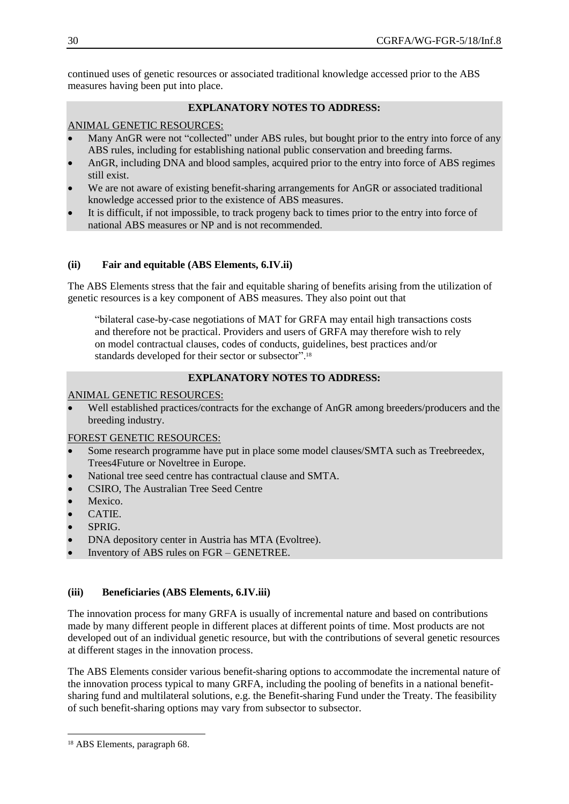continued uses of genetic resources or associated traditional knowledge accessed prior to the ABS measures having been put into place.

## **EXPLANATORY NOTES TO ADDRESS:**

# ANIMAL GENETIC RESOURCES:

- Many AnGR were not "collected" under ABS rules, but bought prior to the entry into force of any ABS rules, including for establishing national public conservation and breeding farms.
- AnGR, including DNA and blood samples, acquired prior to the entry into force of ABS regimes still exist.
- We are not aware of existing benefit-sharing arrangements for AnGR or associated traditional knowledge accessed prior to the existence of ABS measures.
- It is difficult, if not impossible, to track progeny back to times prior to the entry into force of national ABS measures or NP and is not recommended.

## **(ii) Fair and equitable (ABS Elements, 6.IV.ii)**

The ABS Elements stress that the fair and equitable sharing of benefits arising from the utilization of genetic resources is a key component of ABS measures. They also point out that

"bilateral case-by-case negotiations of MAT for GRFA may entail high transactions costs and therefore not be practical. Providers and users of GRFA may therefore wish to rely on model contractual clauses, codes of conducts, guidelines, best practices and/or standards developed for their sector or subsector".<sup>18</sup>

## **EXPLANATORY NOTES TO ADDRESS:**

## ANIMAL GENETIC RESOURCES:

 Well established practices/contracts for the exchange of AnGR among breeders/producers and the breeding industry.

## FOREST GENETIC RESOURCES:

- Some research programme have put in place some model clauses/SMTA such as Treebreedex, Trees4Future or Noveltree in Europe.
- National tree seed centre has contractual clause and SMTA.
- CSIRO, The Australian Tree Seed Centre
- Mexico.
- CATIE.
- SPRIG.
- DNA depository center in Austria has MTA (Evoltree).
- Inventory of ABS rules on FGR GENETREE.

## **(iii) Beneficiaries (ABS Elements, 6.IV.iii)**

The innovation process for many GRFA is usually of incremental nature and based on contributions made by many different people in different places at different points of time. Most products are not developed out of an individual genetic resource, but with the contributions of several genetic resources at different stages in the innovation process.

The ABS Elements consider various benefit-sharing options to accommodate the incremental nature of the innovation process typical to many GRFA, including the pooling of benefits in a national benefitsharing fund and multilateral solutions, e.g. the Benefit-sharing Fund under the Treaty. The feasibility of such benefit-sharing options may vary from subsector to subsector.

 $\overline{a}$ 

<sup>18</sup> ABS Elements, paragraph 68.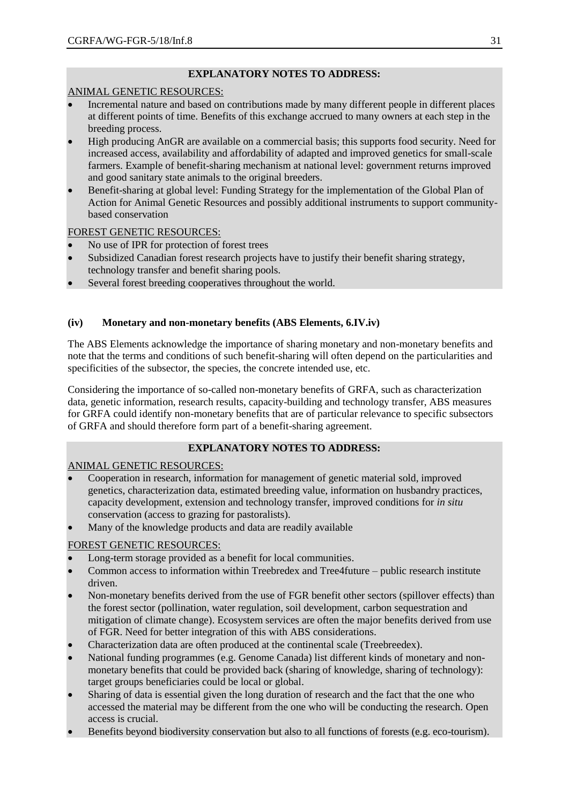# **EXPLANATORY NOTES TO ADDRESS:**

## ANIMAL GENETIC RESOURCES:

- Incremental nature and based on contributions made by many different people in different places at different points of time. Benefits of this exchange accrued to many owners at each step in the breeding process.
- High producing AnGR are available on a commercial basis; this supports food security. Need for increased access, availability and affordability of adapted and improved genetics for small-scale farmers. Example of benefit-sharing mechanism at national level: government returns improved and good sanitary state animals to the original breeders.
- Benefit-sharing at global level: Funding Strategy for the implementation of the Global Plan of Action for Animal Genetic Resources and possibly additional instruments to support communitybased conservation

# FOREST GENETIC RESOURCES:

- No use of IPR for protection of forest trees
- Subsidized Canadian forest research projects have to justify their benefit sharing strategy, technology transfer and benefit sharing pools.
- Several forest breeding cooperatives throughout the world.

# **(iv) Monetary and non-monetary benefits (ABS Elements, 6.IV.iv)**

The ABS Elements acknowledge the importance of sharing monetary and non-monetary benefits and note that the terms and conditions of such benefit-sharing will often depend on the particularities and specificities of the subsector, the species, the concrete intended use, etc.

Considering the importance of so-called non-monetary benefits of GRFA, such as characterization data, genetic information, research results, capacity-building and technology transfer, ABS measures for GRFA could identify non-monetary benefits that are of particular relevance to specific subsectors of GRFA and should therefore form part of a benefit-sharing agreement.

## **EXPLANATORY NOTES TO ADDRESS:**

## ANIMAL GENETIC RESOURCES:

- Cooperation in research, information for management of genetic material sold, improved genetics, characterization data, estimated breeding value, information on husbandry practices, capacity development, extension and technology transfer, improved conditions for *in situ* conservation (access to grazing for pastoralists).
- Many of the knowledge products and data are readily available

## FOREST GENETIC RESOURCES:

- Long-term storage provided as a benefit for local communities.
- Common access to information within Treebredex and Tree4future public research institute driven.
- Non-monetary benefits derived from the use of FGR benefit other sectors (spillover effects) than the forest sector (pollination, water regulation, soil development, carbon sequestration and mitigation of climate change). Ecosystem services are often the major benefits derived from use of FGR. Need for better integration of this with ABS considerations.
- Characterization data are often produced at the continental scale (Treebreedex).
- National funding programmes (e.g. Genome Canada) list different kinds of monetary and nonmonetary benefits that could be provided back (sharing of knowledge, sharing of technology): target groups beneficiaries could be local or global.
- Sharing of data is essential given the long duration of research and the fact that the one who accessed the material may be different from the one who will be conducting the research. Open access is crucial.
- Benefits beyond biodiversity conservation but also to all functions of forests (e.g. eco-tourism).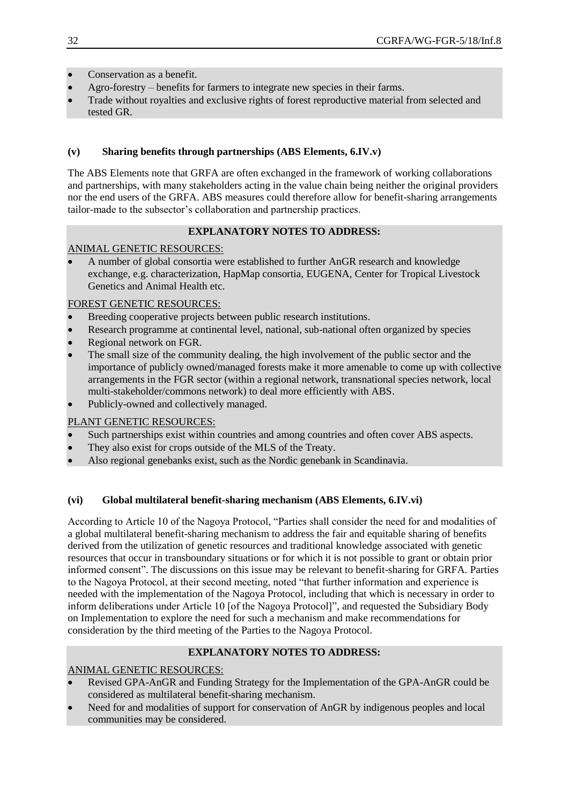- Conservation as a benefit.
- Agro-forestry benefits for farmers to integrate new species in their farms.
- Trade without royalties and exclusive rights of forest reproductive material from selected and tested GR.

## **(v) Sharing benefits through partnerships (ABS Elements, 6.IV.v)**

The ABS Elements note that GRFA are often exchanged in the framework of working collaborations and partnerships, with many stakeholders acting in the value chain being neither the original providers nor the end users of the GRFA. ABS measures could therefore allow for benefit-sharing arrangements tailor-made to the subsector's collaboration and partnership practices.

## **EXPLANATORY NOTES TO ADDRESS:**

## ANIMAL GENETIC RESOURCES:

 A number of global consortia were established to further AnGR research and knowledge exchange, e.g. characterization, HapMap consortia, EUGENA, Center for Tropical Livestock Genetics and Animal Health etc.

## FOREST GENETIC RESOURCES:

- Breeding cooperative projects between public research institutions.
- Research programme at continental level, national, sub-national often organized by species
- Regional network on FGR.
- The small size of the community dealing, the high involvement of the public sector and the importance of publicly owned/managed forests make it more amenable to come up with collective arrangements in the FGR sector (within a regional network, transnational species network, local multi-stakeholder/commons network) to deal more efficiently with ABS.
- Publicly-owned and collectively managed.

## PLANT GENETIC RESOURCES:

- Such partnerships exist within countries and among countries and often cover ABS aspects.
- They also exist for crops outside of the MLS of the Treaty.
- Also regional genebanks exist, such as the Nordic genebank in Scandinavia.

## **(vi) Global multilateral benefit-sharing mechanism (ABS Elements, 6.IV.vi)**

According to Article 10 of the Nagoya Protocol, "Parties shall consider the need for and modalities of a global multilateral benefit-sharing mechanism to address the fair and equitable sharing of benefits derived from the utilization of genetic resources and traditional knowledge associated with genetic resources that occur in transboundary situations or for which it is not possible to grant or obtain prior informed consent". The discussions on this issue may be relevant to benefit-sharing for GRFA. Parties to the Nagoya Protocol, at their second meeting, noted "that further information and experience is needed with the implementation of the Nagoya Protocol, including that which is necessary in order to inform deliberations under Article 10 [of the Nagoya Protocol]", and requested the Subsidiary Body on Implementation to explore the need for such a mechanism and make recommendations for consideration by the third meeting of the Parties to the Nagoya Protocol.

## **EXPLANATORY NOTES TO ADDRESS:**

#### ANIMAL GENETIC RESOURCES:

- Revised GPA-AnGR and Funding Strategy for the Implementation of the GPA-AnGR could be considered as multilateral benefit-sharing mechanism.
- Need for and modalities of support for conservation of AnGR by indigenous peoples and local communities may be considered.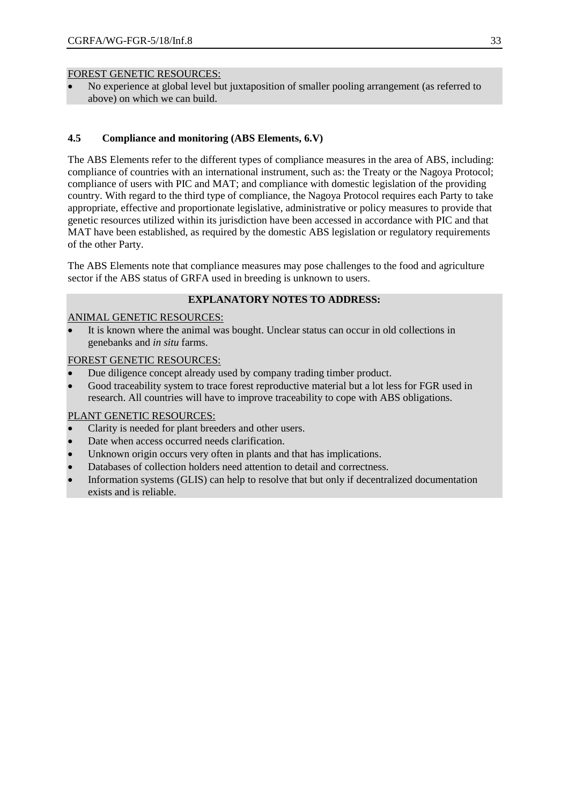#### FOREST GENETIC RESOURCES:

 No experience at global level but juxtaposition of smaller pooling arrangement (as referred to above) on which we can build.

## **4.5 Compliance and monitoring (ABS Elements, 6.V)**

The ABS Elements refer to the different types of compliance measures in the area of ABS, including: compliance of countries with an international instrument, such as: the Treaty or the Nagoya Protocol; compliance of users with PIC and MAT; and compliance with domestic legislation of the providing country. With regard to the third type of compliance, the Nagoya Protocol requires each Party to take appropriate, effective and proportionate legislative, administrative or policy measures to provide that genetic resources utilized within its jurisdiction have been accessed in accordance with PIC and that MAT have been established, as required by the domestic ABS legislation or regulatory requirements of the other Party.

The ABS Elements note that compliance measures may pose challenges to the food and agriculture sector if the ABS status of GRFA used in breeding is unknown to users.

## **EXPLANATORY NOTES TO ADDRESS:**

## ANIMAL GENETIC RESOURCES:

 It is known where the animal was bought. Unclear status can occur in old collections in genebanks and *in situ* farms.

## FOREST GENETIC RESOURCES:

- Due diligence concept already used by company trading timber product.
- Good traceability system to trace forest reproductive material but a lot less for FGR used in research. All countries will have to improve traceability to cope with ABS obligations.

## PLANT GENETIC RESOURCES:

- Clarity is needed for plant breeders and other users.
- Date when access occurred needs clarification.
- Unknown origin occurs very often in plants and that has implications.
- Databases of collection holders need attention to detail and correctness.
- Information systems (GLIS) can help to resolve that but only if decentralized documentation exists and is reliable.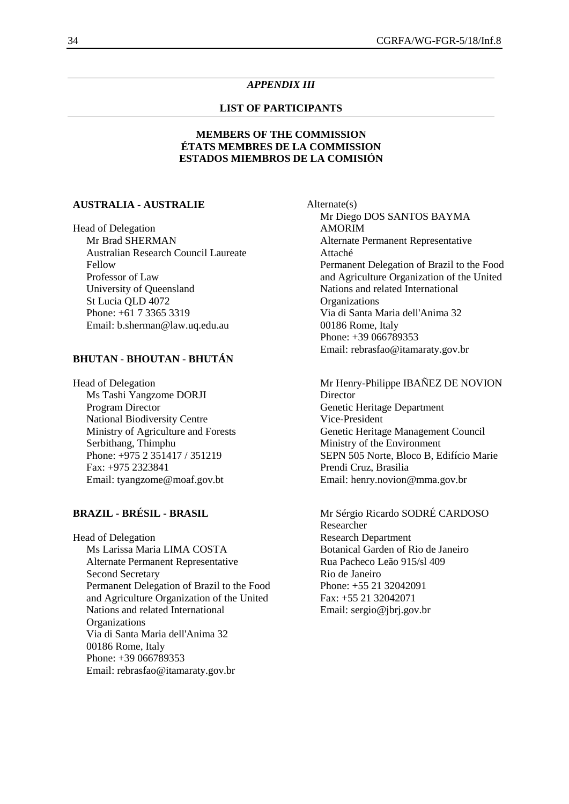#### *APPENDIX III*

#### **LIST OF PARTICIPANTS**

## **MEMBERS OF THE COMMISSION ÉTATS MEMBRES DE LA COMMISSION ESTADOS MIEMBROS DE LA COMISIÓN**

#### **AUSTRALIA - AUSTRALIE**

Head of Delegation Mr Brad SHERMAN Australian Research Council Laureate Fellow Professor of Law University of Queensland St Lucia QLD 4072 Phone: +61 7 3365 3319 Email: b.sherman@law.uq.edu.au

#### **BHUTAN - BHOUTAN - BHUTÁN**

Head of Delegation Ms Tashi Yangzome DORJI Program Director National Biodiversity Centre Ministry of Agriculture and Forests Serbithang, Thimphu Phone: +975 2 351417 / 351219 Fax: +975 2323841 Email: tyangzome@moaf.gov.bt

### **BRAZIL - BRÉSIL - BRASIL**

Head of Delegation Ms Larissa Maria LIMA COSTA Alternate Permanent Representative Second Secretary Permanent Delegation of Brazil to the Food and Agriculture Organization of the United Nations and related International **Organizations** Via di Santa Maria dell'Anima 32 00186 Rome, Italy Phone: +39 066789353 Email: rebrasfao@itamaraty.gov.br

Alternate(s) Mr Diego DOS SANTOS BAYMA AMORIM Alternate Permanent Representative Attaché Permanent Delegation of Brazil to the Food and Agriculture Organization of the United Nations and related International **Organizations** Via di Santa Maria dell'Anima 32 00186 Rome, Italy Phone: +39 066789353 Email: rebrasfao@itamaraty.gov.br

Mr Henry-Philippe IBAÑEZ DE NOVION Director Genetic Heritage Department Vice-President Genetic Heritage Management Council Ministry of the Environment SEPN 505 Norte, Bloco B, Edifício Marie Prendi Cruz, Brasilia Email: henry.novion@mma.gov.br

Mr Sérgio Ricardo SODRÉ CARDOSO Researcher Research Department Botanical Garden of Rio de Janeiro Rua Pacheco Leão 915/sl 409 Rio de Janeiro Phone: +55 21 32042091 Fax: +55 21 32042071 Email: sergio@jbrj.gov.br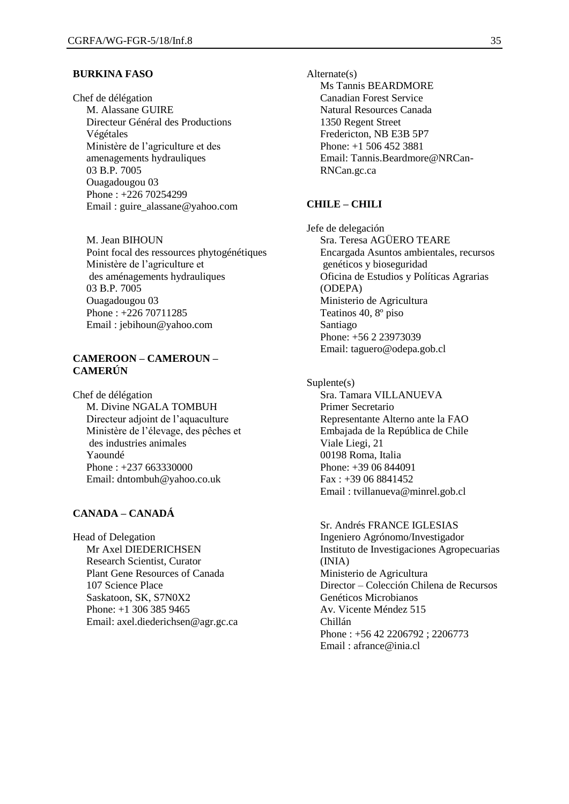#### **BURKINA FASO**

Chef de délégation M. Alassane GUIRE Directeur Général des Productions Végétales Ministère de l'agriculture et des amenagements hydrauliques 03 B.P. 7005 Ouagadougou 03 Phone : +226 70254299 Email : guire\_alassane@yahoo.com

M. Jean BIHOUN Point focal des ressources phytogénétiques Ministère de l'agriculture et des aménagements hydrauliques 03 B.P. 7005 Ouagadougou 03 Phone : +226 70711285 Email : jebihoun@yahoo.com

#### **CAMEROON – CAMEROUN – CAMERÚN**

Chef de délégation M. Divine NGALA TOMBUH Directeur adjoint de l'aquaculture Ministère de l'élevage, des pêches et des industries animales Yaoundé Phone : +237 663330000 Email: dntombuh@yahoo.co.uk

## **CANADA – CANADÁ**

Head of Delegation Mr Axel DIEDERICHSEN Research Scientist, Curator Plant Gene Resources of Canada 107 Science Place Saskatoon, SK, S7N0X2 Phone: +1 306 385 9465 Email: axel.diederichsen@agr.gc.ca Alternate(s) Ms Tannis BEARDMORE Canadian Forest Service Natural Resources Canada 1350 Regent Street Fredericton, NB E3B 5P7 Phone: +1 506 452 3881 Email: Tannis.Beardmore@NRCan-RNCan.gc.ca

#### **CHILE – CHILI**

Jefe de delegación Sra. Teresa AGÜERO TEARE Encargada Asuntos ambientales, recursos genéticos y bioseguridad Oficina de Estudios y Políticas Agrarias (ODEPA) Ministerio de Agricultura Teatinos 40, 8º piso Santiago Phone: +56 2 23973039 Email: taguero@odepa.gob.cl

Suplente(s) Sra. Tamara VILLANUEVA Primer Secretario Representante Alterno ante la FAO Embajada de la República de Chile Viale Liegi, 21 00198 Roma, Italia Phone: +39 06 844091 Fax : +39 06 8841452 Email : tvillanueva@minrel.gob.cl

Sr. Andrés FRANCE IGLESIAS Ingeniero Agrónomo/Investigador Instituto de Investigaciones Agropecuarias (INIA) Ministerio de Agricultura Director – Colección Chilena de Recursos Genéticos Microbianos Av. Vicente Méndez 515 Chillán Phone : +56 42 2206792 ; 2206773 Email : afrance@inia.cl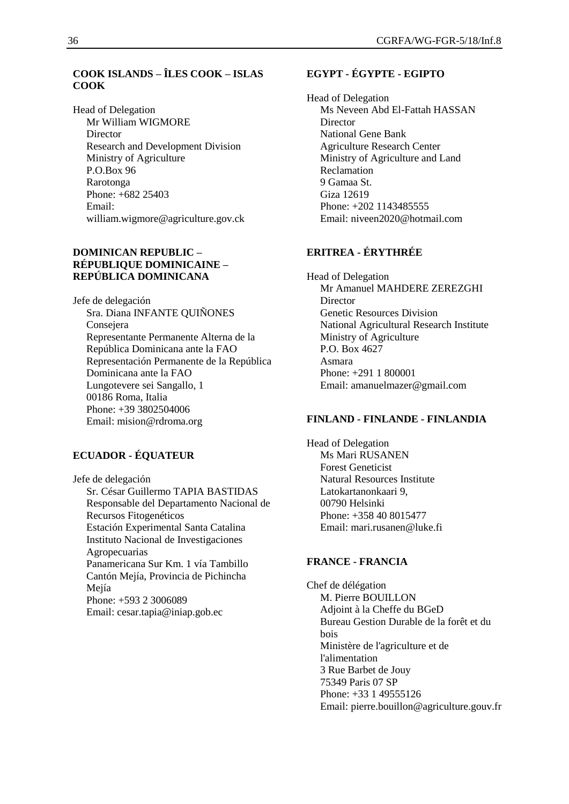# **COOK ISLANDS – ÎLES COOK – ISLAS COOK**

Head of Delegation Mr William WIGMORE **Director** Research and Development Division Ministry of Agriculture P.O.Box 96 Rarotonga Phone: +682 25403 Email: william.wigmore@agriculture.gov.ck

#### **DOMINICAN REPUBLIC – RÉPUBLIQUE DOMINICAINE – REPÚBLICA DOMINICANA**

Jefe de delegación Sra. Diana INFANTE QUIÑONES Consejera Representante Permanente Alterna de la República Dominicana ante la FAO Representación Permanente de la República Dominicana ante la FAO Lungotevere sei Sangallo, 1 00186 Roma, Italia Phone: +39 3802504006 Email: mision@rdroma.org

## **ECUADOR - ÉQUATEUR**

Jefe de delegación Sr. César Guillermo TAPIA BASTIDAS Responsable del Departamento Nacional de Recursos Fitogenéticos Estación Experimental Santa Catalina Instituto Nacional de Investigaciones Agropecuarias Panamericana Sur Km. 1 vía Tambillo Cantón Mejía, Provincia de Pichincha Mejía Phone: +593 2 3006089 Email: cesar.tapia@iniap.gob.ec

## **EGYPT - ÉGYPTE - EGIPTO**

Head of Delegation Ms Neveen Abd El-Fattah HASSAN Director National Gene Bank Agriculture Research Center Ministry of Agriculture and Land Reclamation 9 Gamaa St. Giza 12619 Phone: +202 1143485555 Email: niveen2020@hotmail.com

# **ERITREA - ÉRYTHRÉE**

Head of Delegation Mr Amanuel MAHDERE ZEREZGHI **Director** Genetic Resources Division National Agricultural Research Institute Ministry of Agriculture P.O. Box 4627 Asmara Phone: +291 1 800001 Email: amanuelmazer@gmail.com

#### **FINLAND - FINLANDE - FINLANDIA**

Head of Delegation Ms Mari RUSANEN Forest Geneticist Natural Resources Institute Latokartanonkaari 9, 00790 Helsinki Phone: +358 40 8015477 Email: mari.rusanen@luke.fi

#### **FRANCE - FRANCIA**

Chef de délégation M. Pierre BOUILLON Adjoint à la Cheffe du BGeD Bureau Gestion Durable de la forêt et du bois Ministère de l'agriculture et de l'alimentation 3 Rue Barbet de Jouy 75349 Paris 07 SP Phone: +33 1 49555126 Email: pierre.bouillon@agriculture.gouv.fr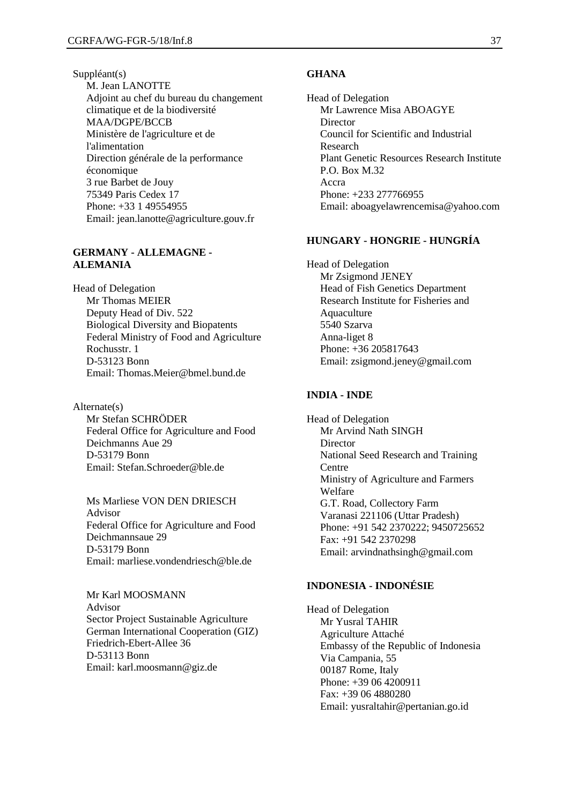Suppléant(s) M. Jean LANOTTE Adjoint au chef du bureau du changement climatique et de la biodiversité MAA/DGPE/BCCB Ministère de l'agriculture et de l'alimentation Direction générale de la performance économique 3 rue Barbet de Jouy 75349 Paris Cedex 17 Phone: +33 1 49554955 Email: jean.lanotte@agriculture.gouv.fr

#### **GERMANY - ALLEMAGNE - ALEMANIA**

Head of Delegation Mr Thomas MEIER Deputy Head of Div. 522 Biological Diversity and Biopatents Federal Ministry of Food and Agriculture Rochusstr. 1 D-53123 Bonn Email: Thomas.Meier@bmel.bund.de

Alternate(s) Mr Stefan SCHRÖDER Federal Office for Agriculture and Food Deichmanns Aue 29 D-53179 Bonn Email: Stefan.Schroeder@ble.de

Ms Marliese VON DEN DRIESCH Advisor Federal Office for Agriculture and Food Deichmannsaue 29 D-53179 Bonn Email: marliese.vondendriesch@ble.de

Mr Karl MOOSMANN Advisor Sector Project Sustainable Agriculture German International Cooperation (GIZ) Friedrich-Ebert-Allee 36 D-53113 Bonn Email: karl.moosmann@giz.de

#### **GHANA**

Head of Delegation Mr Lawrence Misa ABOAGYE Director Council for Scientific and Industrial Research Plant Genetic Resources Research Institute P.O. Box M.32 Accra Phone: +233 277766955 Email: aboagyelawrencemisa@yahoo.com

#### **HUNGARY - HONGRIE - HUNGRÍA**

Head of Delegation Mr Zsigmond JENEY Head of Fish Genetics Department Research Institute for Fisheries and Aquaculture 5540 Szarva Anna-liget 8 Phone: +36 205817643 Email: zsigmond.jeney@gmail.com

#### **INDIA - INDE**

Head of Delegation Mr Arvind Nath SINGH Director National Seed Research and Training Centre Ministry of Agriculture and Farmers Welfare G.T. Road, Collectory Farm Varanasi 221106 (Uttar Pradesh) Phone: +91 542 2370222; 9450725652 Fax: +91 542 2370298 Email: arvindnathsingh@gmail.com

#### **INDONESIA - INDONÉSIE**

Head of Delegation Mr Yusral TAHIR Agriculture Attaché Embassy of the Republic of Indonesia Via Campania, 55 00187 Rome, Italy Phone: +39 06 4200911 Fax: +39 06 4880280 Email: yusraltahir@pertanian.go.id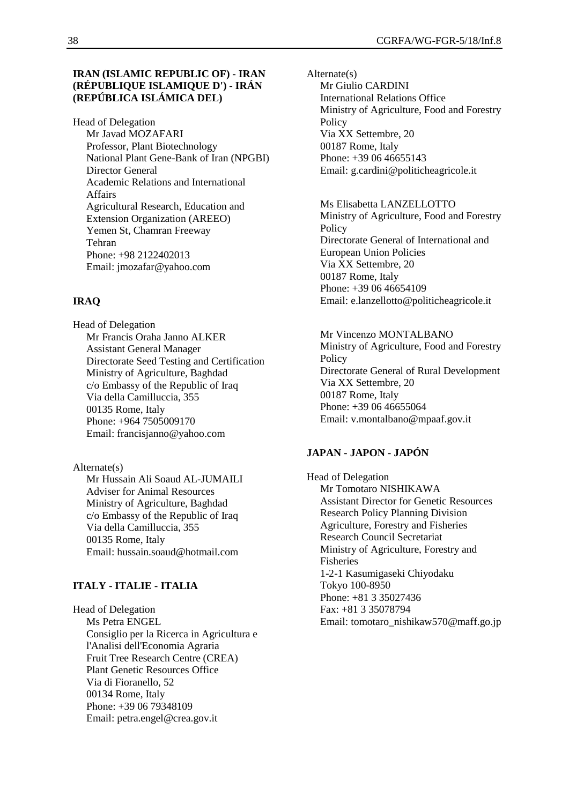#### **IRAN (ISLAMIC REPUBLIC OF) - IRAN (RÉPUBLIQUE ISLAMIQUE D') - IRÁN (REPÚBLICA ISLÁMICA DEL)**

Head of Delegation Mr Javad MOZAFARI Professor, Plant Biotechnology National Plant Gene-Bank of Iran (NPGBI) Director General Academic Relations and International Affairs Agricultural Research, Education and Extension Organization (AREEO) Yemen St, Chamran Freeway Tehran Phone: +98 2122402013 Email: jmozafar@yahoo.com

## **IRAQ**

Head of Delegation Mr Francis Oraha Janno ALKER Assistant General Manager Directorate Seed Testing and Certification Ministry of Agriculture, Baghdad c/o Embassy of the Republic of Iraq Via della Camilluccia, 355 00135 Rome, Italy Phone: +964 7505009170 Email: francisjanno@yahoo.com

Alternate(s) Mr Hussain Ali Soaud AL-JUMAILI Adviser for Animal Resources Ministry of Agriculture, Baghdad c/o Embassy of the Republic of Iraq Via della Camilluccia, 355 00135 Rome, Italy Email: hussain.soaud@hotmail.com

## **ITALY - ITALIE - ITALIA**

Head of Delegation Ms Petra ENGEL Consiglio per la Ricerca in Agricultura e l'Analisi dell'Economia Agraria Fruit Tree Research Centre (CREA) Plant Genetic Resources Office Via di Fioranello, 52 00134 Rome, Italy Phone: +39 06 79348109 Email: petra.engel@crea.gov.it

Alternate(s) Mr Giulio CARDINI International Relations Office Ministry of Agriculture, Food and Forestry **Policy** Via XX Settembre, 20 00187 Rome, Italy Phone: +39 06 46655143 Email: g.cardini@politicheagricole.it

Ms Elisabetta LANZELLOTTO Ministry of Agriculture, Food and Forestry Policy Directorate General of International and European Union Policies Via XX Settembre, 20 00187 Rome, Italy Phone: +39 06 46654109 Email: e.lanzellotto@politicheagricole.it

Mr Vincenzo MONTALBANO Ministry of Agriculture, Food and Forestry Policy Directorate General of Rural Development Via XX Settembre, 20 00187 Rome, Italy Phone: +39 06 46655064 Email: v.montalbano@mpaaf.gov.it

#### **JAPAN - JAPON - JAPÓN**

Head of Delegation Mr Tomotaro NISHIKAWA Assistant Director for Genetic Resources Research Policy Planning Division Agriculture, Forestry and Fisheries Research Council Secretariat Ministry of Agriculture, Forestry and Fisheries 1-2-1 Kasumigaseki Chiyodaku Tokyo 100-8950 Phone: +81 3 35027436 Fax: +81 3 35078794 Email: tomotaro\_nishikaw570@maff.go.jp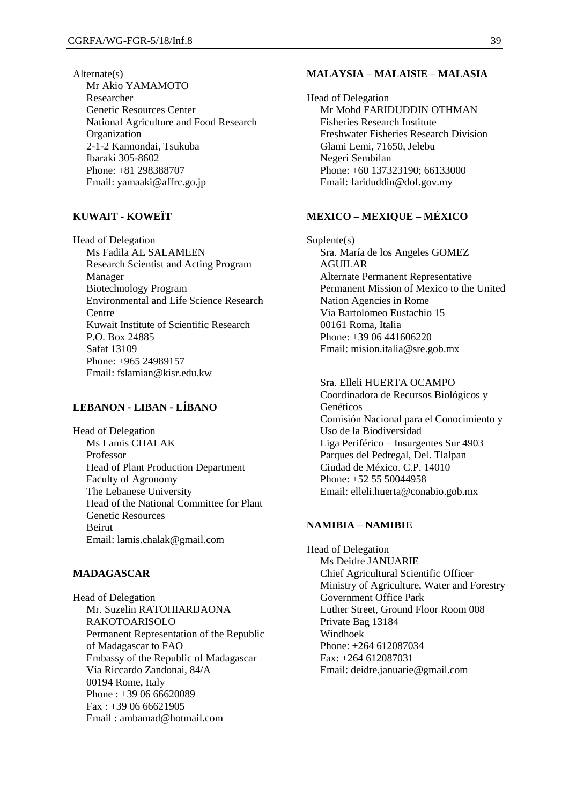Alternate(s) Mr Akio YAMAMOTO Researcher Genetic Resources Center National Agriculture and Food Research Organization 2-1-2 Kannondai, Tsukuba Ibaraki 305-8602 Phone: +81 298388707 Email: yamaaki@affrc.go.jp

## **KUWAIT - KOWEÏT**

Head of Delegation Ms Fadila AL SALAMEEN Research Scientist and Acting Program Manager Biotechnology Program Environmental and Life Science Research Centre Kuwait Institute of Scientific Research P.O. Box 24885 Safat 13109 Phone: +965 24989157 Email: fslamian@kisr.edu.kw

## **LEBANON - LIBAN - LÍBANO**

Head of Delegation Ms Lamis CHALAK Professor Head of Plant Production Department Faculty of Agronomy The Lebanese University Head of the National Committee for Plant Genetic Resources Beirut Email: lamis.chalak@gmail.com

#### **MADAGASCAR**

Head of Delegation Mr. Suzelin RATOHIARIJAONA RAKOTOARISOLO Permanent Representation of the Republic of Madagascar to FAO Embassy of the Republic of Madagascar Via Riccardo Zandonai, 84/A 00194 Rome, Italy Phone : +39 06 66620089 Fax : +39 06 66621905 Email : ambamad@hotmail.com

#### **MALAYSIA – MALAISIE – MALASIA**

Head of Delegation Mr Mohd FARIDUDDIN OTHMAN Fisheries Research Institute Freshwater Fisheries Research Division Glami Lemi, 71650, Jelebu Negeri Sembilan Phone: +60 137323190; 66133000 Email: fariduddin@dof.gov.my

#### **MEXICO – MEXIQUE – MÉXICO**

Suplente(s) Sra. María de los Angeles GOMEZ AGUILAR Alternate Permanent Representative Permanent Mission of Mexico to the United Nation Agencies in Rome Via Bartolomeo Eustachio 15 00161 Roma, Italia Phone: +39 06 441606220 Email: mision.italia@sre.gob.mx

Sra. Elleli HUERTA OCAMPO Coordinadora de Recursos Biológicos y Genéticos Comisión Nacional para el Conocimiento y Uso de la Biodiversidad Liga Periférico – Insurgentes Sur 4903 Parques del Pedregal, Del. Tlalpan Ciudad de México. C.P. 14010 Phone: +52 55 50044958 Email: elleli.huerta@conabio.gob.mx

#### **NAMIBIA – NAMIBIE**

Head of Delegation Ms Deidre JANUARIE Chief Agricultural Scientific Officer Ministry of Agriculture, Water and Forestry Government Office Park Luther Street, Ground Floor Room 008 Private Bag 13184 Windhoek Phone: +264 612087034 Fax: +264 612087031 Email: deidre.januarie@gmail.com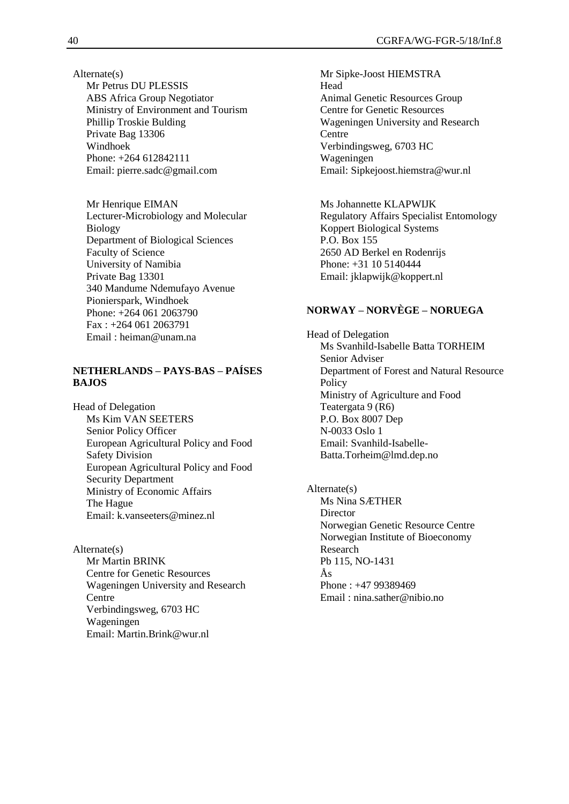Alternate(s) Mr Petrus DU PLESSIS ABS Africa Group Negotiator Ministry of Environment and Tourism Phillip Troskie Bulding Private Bag 13306 Windhoek Phone: +264 612842111 Email: pierre.sadc@gmail.com

Mr Henrique EIMAN Lecturer-Microbiology and Molecular Biology Department of Biological Sciences Faculty of Science University of Namibia Private Bag 13301 340 Mandume Ndemufayo Avenue Pionierspark, Windhoek Phone: +264 061 2063790 Fax : +264 061 2063791 Email : heiman@unam.na

## **NETHERLANDS – PAYS-BAS – PAÍSES BAJOS**

Head of Delegation Ms Kim VAN SEETERS Senior Policy Officer European Agricultural Policy and Food Safety Division European Agricultural Policy and Food Security Department Ministry of Economic Affairs The Hague Email: k.vanseeters@minez.nl

Alternate(s) Mr Martin BRINK Centre for Genetic Resources Wageningen University and Research Centre Verbindingsweg, 6703 HC Wageningen Email: Martin.Brink@wur.nl

Mr Sipke-Joost HIEMSTRA Head Animal Genetic Resources Group Centre for Genetic Resources Wageningen University and Research **Centre** Verbindingsweg, 6703 HC Wageningen Email: Sipkejoost.hiemstra@wur.nl

Ms Johannette KLAPWIJK Regulatory Affairs Specialist Entomology Koppert Biological Systems P.O. Box 155 2650 AD Berkel en Rodenrijs Phone: +31 10 5140444 Email: jklapwijk@koppert.nl

# **NORWAY – NORVÈGE – NORUEGA**

Head of Delegation Ms Svanhild-Isabelle Batta TORHEIM Senior Adviser Department of Forest and Natural Resource Policy Ministry of Agriculture and Food Teatergata 9 (R6) P.O. Box 8007 Dep N-0033 Oslo 1 Email: Svanhild-Isabelle-Batta.Torheim@lmd.dep.no

Alternate(s) Ms Nina SÆTHER **Director** Norwegian Genetic Resource Centre Norwegian Institute of Bioeconomy Research Pb 115, NO-1431 Ås Phone : +47 99389469 Email : nina.sather@nibio.no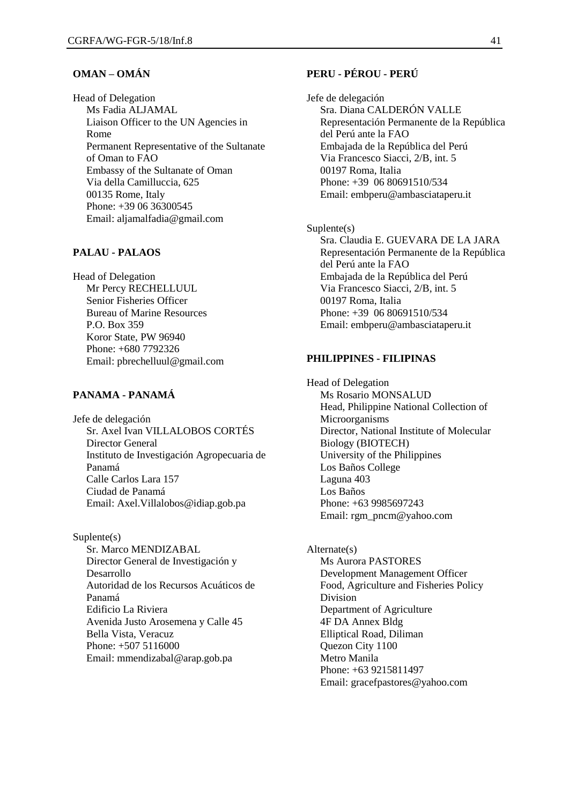#### **OMAN – OMÁN**

Head of Delegation Ms Fadia ALJAMAL Liaison Officer to the UN Agencies in Rome Permanent Representative of the Sultanate of Oman to FAO Embassy of the Sultanate of Oman Via della Camilluccia, 625 00135 Rome, Italy Phone: +39 06 36300545 Email: aljamalfadia@gmail.com

#### **PALAU - PALAOS**

Head of Delegation Mr Percy RECHELLUUL Senior Fisheries Officer Bureau of Marine Resources P.O. Box 359 Koror State, PW 96940 Phone: +680 7792326 Email: pbrechelluul@gmail.com

## **PANAMA - PANAMÁ**

Jefe de delegación Sr. Axel Ivan VILLALOBOS CORTÉS Director General Instituto de Investigación Agropecuaria de Panamá Calle Carlos Lara 157 Ciudad de Panamá Email: Axel.Villalobos@idiap.gob.pa

Suplente(s) Sr. Marco MENDIZABAL Director General de Investigación y Desarrollo Autoridad de los Recursos Acuáticos de Panamá Edificio La Riviera Avenida Justo Arosemena y Calle 45 Bella Vista, Veracuz Phone: +507 5116000 Email: mmendizabal@arap.gob.pa

## **PERU - PÉROU - PERÚ**

Jefe de delegación Sra. Diana CALDERÓN VALLE Representación Permanente de la República del Perú ante la FAO Embajada de la República del Perú Via Francesco Siacci, 2/B, int. 5 00197 Roma, Italia Phone: +39 06 80691510/534 Email: embperu@ambasciataperu.it

Suplente(s) Sra. Claudia E. GUEVARA DE LA JARA Representación Permanente de la República del Perú ante la FAO Embajada de la República del Perú Via Francesco Siacci, 2/B, int. 5 00197 Roma, Italia Phone: +39 06 80691510/534 Email: embperu@ambasciataperu.it

#### **PHILIPPINES - FILIPINAS**

Head of Delegation Ms Rosario MONSALUD Head, Philippine National Collection of **Microorganisms** Director, National Institute of Molecular Biology (BIOTECH) University of the Philippines Los Baños College Laguna 403 Los Baños Phone: +63 9985697243 Email: rgm\_pncm@yahoo.com

Alternate(s) Ms Aurora PASTORES Development Management Officer Food, Agriculture and Fisheries Policy Division Department of Agriculture 4F DA Annex Bldg Elliptical Road, Diliman Quezon City 1100 Metro Manila Phone: +63 9215811497 Email: gracefpastores@yahoo.com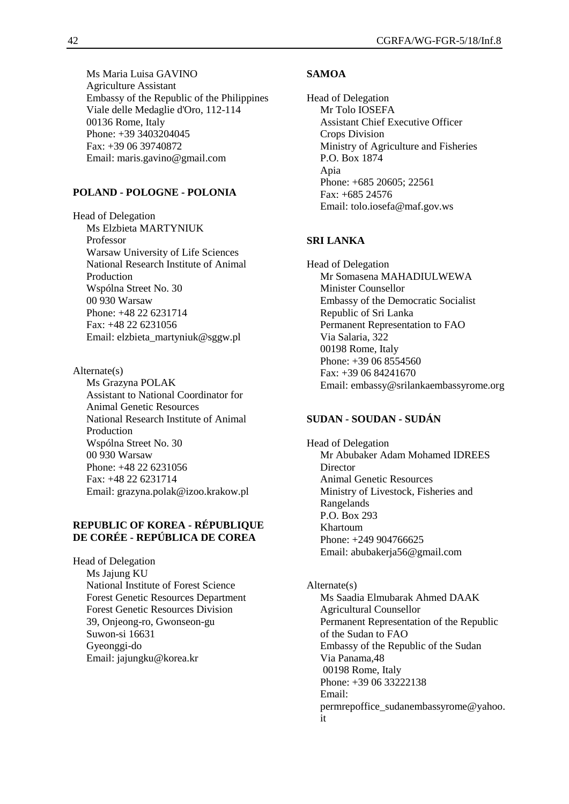Ms Maria Luisa GAVINO Agriculture Assistant Embassy of the Republic of the Philippines Viale delle Medaglie d'Oro, 112-114 00136 Rome, Italy Phone: +39 3403204045 Fax: +39 06 39740872 Email: maris.gavino@gmail.com

#### **POLAND - POLOGNE - POLONIA**

Head of Delegation Ms Elzbieta MARTYNIUK Professor Warsaw University of Life Sciences National Research Institute of Animal Production Wspólna Street No. 30 00 930 Warsaw Phone: +48 22 6231714 Fax: +48 22 6231056 Email: elzbieta\_martyniuk@sggw.pl

Alternate(s) Ms Grazyna POLAK Assistant to National Coordinator for Animal Genetic Resources National Research Institute of Animal Production Wspólna Street No. 30 00 930 Warsaw Phone: +48 22 6231056 Fax: +48 22 6231714 Email: grazyna.polak@izoo.krakow.pl

#### **REPUBLIC OF KOREA - RÉPUBLIQUE DE CORÉE - REPÚBLICA DE COREA**

Head of Delegation Ms Jajung KU National Institute of Forest Science Forest Genetic Resources Department Forest Genetic Resources Division 39, Onjeong-ro, Gwonseon-gu Suwon-si 16631 Gyeonggi-do Email: jajungku@korea.kr

#### **SAMOA**

Head of Delegation Mr Tolo IOSEFA Assistant Chief Executive Officer Crops Division Ministry of Agriculture and Fisheries P.O. Box 1874 Apia Phone: +685 20605; 22561 Fax: +685 24576 Email: tolo.iosefa@maf.gov.ws

#### **SRI LANKA**

Head of Delegation Mr Somasena MAHADIULWEWA Minister Counsellor Embassy of the Democratic Socialist Republic of Sri Lanka Permanent Representation to FAO Via Salaria, 322 00198 Rome, Italy Phone: +39 06 8554560 Fax: +39 06 84241670 Email: embassy@srilankaembassyrome.org

#### **SUDAN - SOUDAN - SUDÁN**

Head of Delegation Mr Abubaker Adam Mohamed IDREES Director Animal Genetic Resources Ministry of Livestock, Fisheries and Rangelands P.O. Box 293 Khartoum Phone: +249 904766625 Email: abubakerja56@gmail.com

Alternate(s) Ms Saadia Elmubarak Ahmed DAAK Agricultural Counsellor Permanent Representation of the Republic of the Sudan to FAO Embassy of the Republic of the Sudan Via Panama,48 00198 Rome, Italy Phone: +39 06 33222138 Email: permrepoffice\_sudanembassyrome@yahoo. it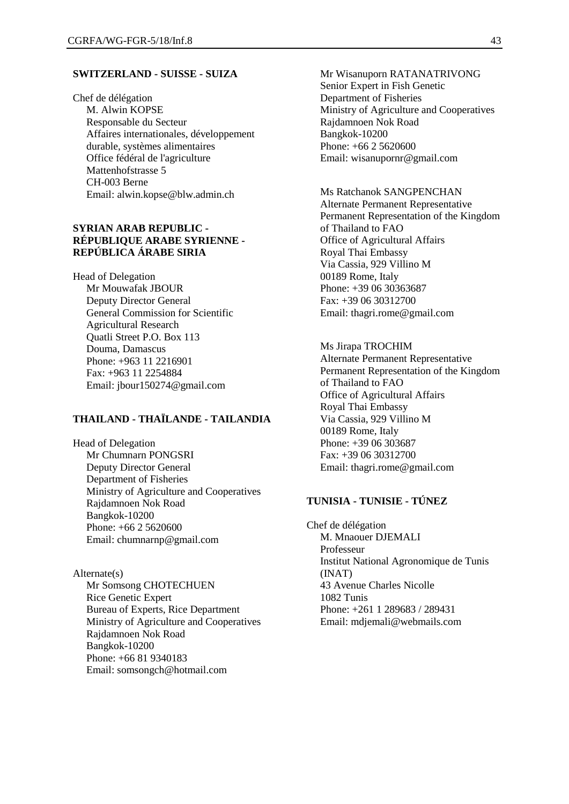### **SWITZERLAND - SUISSE - SUIZA**

Chef de délégation M. Alwin KOPSE Responsable du Secteur Affaires internationales, développement durable, systèmes alimentaires Office fédéral de l'agriculture Mattenhofstrasse 5 CH-003 Berne Email: alwin.kopse@blw.admin.ch

## **SYRIAN ARAB REPUBLIC - RÉPUBLIQUE ARABE SYRIENNE - REPÚBLICA ÁRABE SIRIA**

Head of Delegation Mr Mouwafak JBOUR Deputy Director General General Commission for Scientific Agricultural Research Quatli Street P.O. Box 113 Douma, Damascus Phone: +963 11 2216901 Fax: +963 11 2254884 Email: jbour150274@gmail.com

#### **THAILAND - THAÏLANDE - TAILANDIA**

Head of Delegation Mr Chumnarn PONGSRI Deputy Director General Department of Fisheries Ministry of Agriculture and Cooperatives Rajdamnoen Nok Road Bangkok-10200 Phone: +66 2 5620600 Email: chumnarnp@gmail.com

# Alternate(s)

Mr Somsong CHOTECHUEN Rice Genetic Expert Bureau of Experts, Rice Department Ministry of Agriculture and Cooperatives Rajdamnoen Nok Road Bangkok-10200 Phone: +66 81 9340183 Email: somsongch@hotmail.com

Mr Wisanuporn RATANATRIVONG Senior Expert in Fish Genetic Department of Fisheries Ministry of Agriculture and Cooperatives Rajdamnoen Nok Road Bangkok-10200 Phone: +66 2 5620600 Email: wisanupornr@gmail.com

Ms Ratchanok SANGPENCHAN Alternate Permanent Representative Permanent Representation of the Kingdom of Thailand to FAO Office of Agricultural Affairs Royal Thai Embassy Via Cassia, 929 Villino M 00189 Rome, Italy Phone: +39 06 30363687 Fax: +39 06 30312700 Email: thagri.rome@gmail.com

Ms Jirapa TROCHIM Alternate Permanent Representative Permanent Representation of the Kingdom of Thailand to FAO Office of Agricultural Affairs Royal Thai Embassy Via Cassia, 929 Villino M 00189 Rome, Italy Phone: +39 06 303687 Fax: +39 06 30312700 Email: thagri.rome@gmail.com

# **TUNISIA - TUNISIE - TÚNEZ**

Chef de délégation M. Mnaouer DJEMALI Professeur Institut National Agronomique de Tunis (INAT) 43 Avenue Charles Nicolle 1082 Tunis Phone: +261 1 289683 / 289431 Email: mdjemali@webmails.com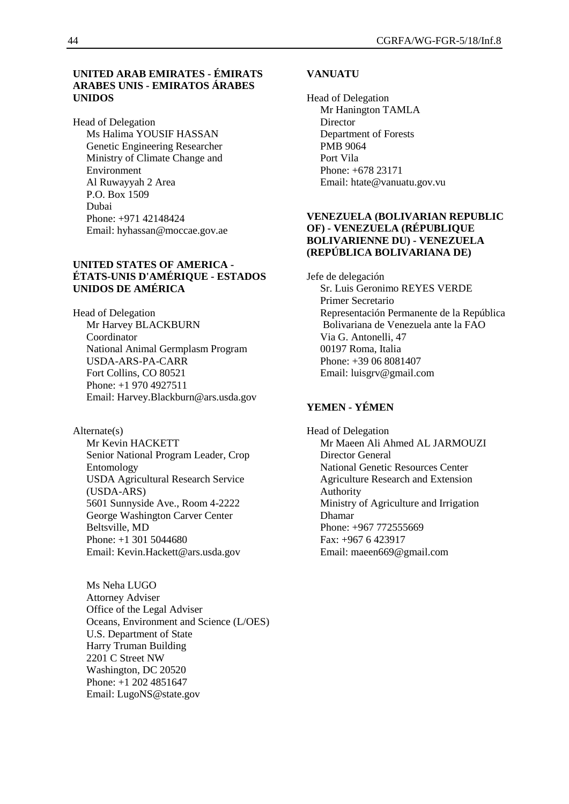#### **UNITED ARAB EMIRATES - ÉMIRATS ARABES UNIS - EMIRATOS ÁRABES UNIDOS**

Head of Delegation Ms Halima YOUSIF HASSAN Genetic Engineering Researcher Ministry of Climate Change and Environment Al Ruwayyah 2 Area P.O. Box 1509 Dubai Phone: +971 42148424 Email: hyhassan@moccae.gov.ae

#### **UNITED STATES OF AMERICA - ÉTATS-UNIS D'AMÉRIQUE - ESTADOS UNIDOS DE AMÉRICA**

Head of Delegation Mr Harvey BLACKBURN Coordinator National Animal Germplasm Program USDA-ARS-PA-CARR Fort Collins, CO 80521 Phone: +1 970 4927511 Email: Harvey.Blackburn@ars.usda.gov

## Alternate(s)

Mr Kevin HACKETT Senior National Program Leader, Crop Entomology USDA Agricultural Research Service (USDA-ARS) 5601 Sunnyside Ave., Room 4-2222 George Washington Carver Center Beltsville, MD Phone: +1 301 5044680 Email: Kevin.Hackett@ars.usda.gov

Ms Neha LUGO Attorney Adviser Office of the Legal Adviser Oceans, Environment and Science (L/OES) U.S. Department of State Harry Truman Building 2201 C Street NW Washington, DC 20520 Phone: +1 202 4851647 Email: LugoNS@state.gov

#### **VANUATU**

Head of Delegation Mr Hanington TAMLA **Director** Department of Forests PMB 9064 Port Vila Phone: +678 23171 Email: htate@vanuatu.gov.vu

#### **VENEZUELA (BOLIVARIAN REPUBLIC OF) - VENEZUELA (RÉPUBLIQUE BOLIVARIENNE DU) - VENEZUELA (REPÚBLICA BOLIVARIANA DE)**

Jefe de delegación Sr. Luis Geronimo REYES VERDE Primer Secretario Representación Permanente de la República Bolivariana de Venezuela ante la FAO Via G. Antonelli, 47 00197 Roma, Italia Phone: +39 06 8081407 Email: luisgrv@gmail.com

## **YEMEN - YÉMEN**

Head of Delegation Mr Maeen Ali Ahmed AL JARMOUZI Director General National Genetic Resources Center Agriculture Research and Extension Authority Ministry of Agriculture and Irrigation Dhamar Phone: +967 772555669 Fax: +967 6 423917 Email: maeen669@gmail.com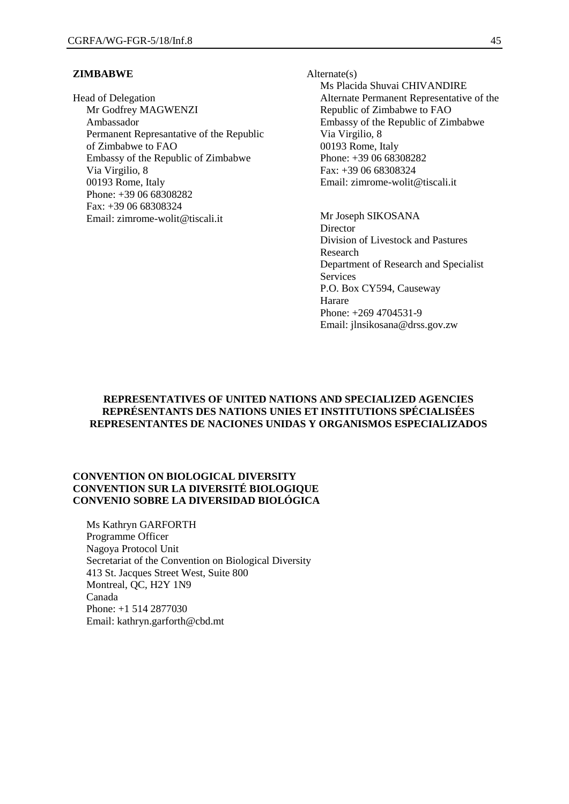#### **ZIMBABWE**

Head of Delegation Mr Godfrey MAGWENZI Ambassador Permanent Represantative of the Republic of Zimbabwe to FAO Embassy of the Republic of Zimbabwe Via Virgilio, 8 00193 Rome, Italy Phone: +39 06 68308282 Fax: +39 06 68308324 Email: zimrome-wolit@tiscali.it

Alternate(s) Ms Placida Shuvai CHIVANDIRE Alternate Permanent Representative of the Republic of Zimbabwe to FAO Embassy of the Republic of Zimbabwe Via Virgilio, 8 00193 Rome, Italy Phone: +39 06 68308282 Fax: +39 06 68308324 Email: zimrome-wolit@tiscali.it

Mr Joseph SIKOSANA **Director** Division of Livestock and Pastures Research Department of Research and Specialist Services P.O. Box CY594, Causeway Harare Phone: +269 4704531-9 Email: jlnsikosana@drss.gov.zw

#### **REPRESENTATIVES OF UNITED NATIONS AND SPECIALIZED AGENCIES REPRÉSENTANTS DES NATIONS UNIES ET INSTITUTIONS SPÉCIALISÉES REPRESENTANTES DE NACIONES UNIDAS Y ORGANISMOS ESPECIALIZADOS**

#### **CONVENTION ON BIOLOGICAL DIVERSITY CONVENTION SUR LA DIVERSITÉ BIOLOGIQUE CONVENIO SOBRE LA DIVERSIDAD BIOLÓGICA**

Ms Kathryn GARFORTH Programme Officer Nagoya Protocol Unit Secretariat of the Convention on Biological Diversity 413 St. Jacques Street West, Suite 800 Montreal, QC, H2Y 1N9 Canada Phone: +1 514 2877030 Email: kathryn.garforth@cbd.mt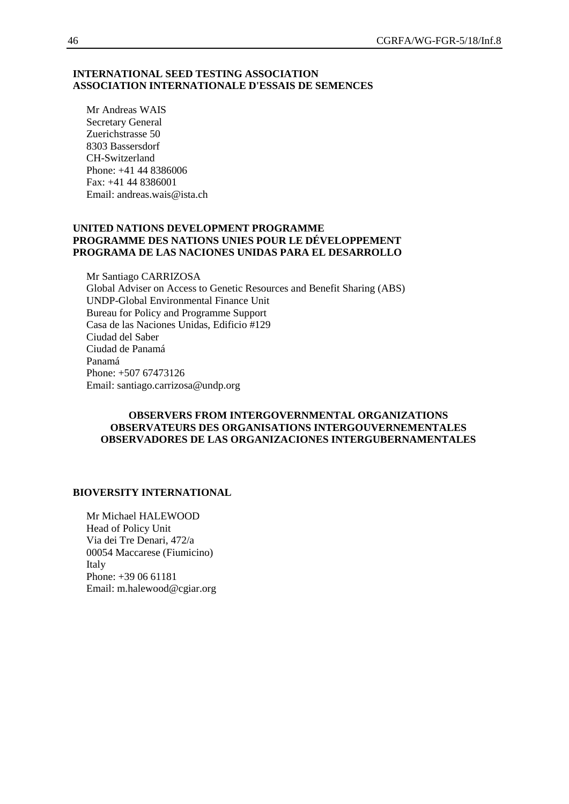#### **INTERNATIONAL SEED TESTING ASSOCIATION ASSOCIATION INTERNATIONALE D'ESSAIS DE SEMENCES**

Mr Andreas WAIS Secretary General Zuerichstrasse 50 8303 Bassersdorf CH-Switzerland Phone: +41 44 8386006 Fax: +41 44 8386001 Email: andreas.wais@ista.ch

#### **UNITED NATIONS DEVELOPMENT PROGRAMME PROGRAMME DES NATIONS UNIES POUR LE DÉVELOPPEMENT PROGRAMA DE LAS NACIONES UNIDAS PARA EL DESARROLLO**

Mr Santiago CARRIZOSA Global Adviser on Access to Genetic Resources and Benefit Sharing (ABS) UNDP-Global Environmental Finance Unit Bureau for Policy and Programme Support Casa de las Naciones Unidas, Edificio #129 Ciudad del Saber Ciudad de Panamá Panamá Phone: +507 67473126 Email: santiago.carrizosa@undp.org

#### **OBSERVERS FROM INTERGOVERNMENTAL ORGANIZATIONS OBSERVATEURS DES ORGANISATIONS INTERGOUVERNEMENTALES OBSERVADORES DE LAS ORGANIZACIONES INTERGUBERNAMENTALES**

#### **BIOVERSITY INTERNATIONAL**

Mr Michael HALEWOOD Head of Policy Unit Via dei Tre Denari, 472/a 00054 Maccarese (Fiumicino) Italy Phone: +39 06 61181 Email: m.halewood@cgiar.org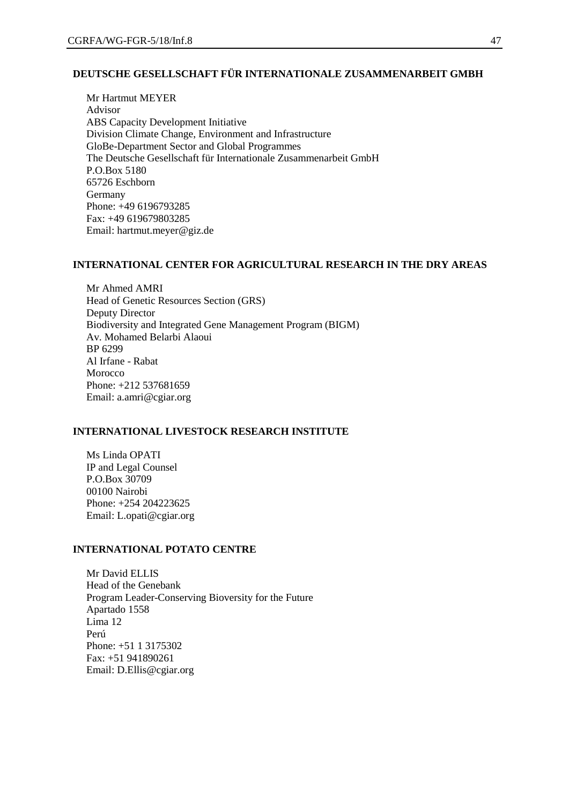# **DEUTSCHE GESELLSCHAFT FÜR INTERNATIONALE ZUSAMMENARBEIT GMBH**

Mr Hartmut MEYER Advisor ABS Capacity Development Initiative Division Climate Change, Environment and Infrastructure GloBe-Department Sector and Global Programmes The Deutsche Gesellschaft für Internationale Zusammenarbeit GmbH P.O.Box 5180 65726 Eschborn **Germany** Phone: +49 6196793285 Fax: +49 619679803285 Email: hartmut.meyer@giz.de

#### **INTERNATIONAL CENTER FOR AGRICULTURAL RESEARCH IN THE DRY AREAS**

Mr Ahmed AMRI Head of Genetic Resources Section (GRS) Deputy Director Biodiversity and Integrated Gene Management Program (BIGM) Av. Mohamed Belarbi Alaoui BP 6299 Al Irfane - Rabat Morocco Phone: +212 537681659 Email: a.amri@cgiar.org

#### **INTERNATIONAL LIVESTOCK RESEARCH INSTITUTE**

Ms Linda OPATI IP and Legal Counsel P.O.Box 30709 00100 Nairobi Phone: +254 204223625 Email: L.opati@cgiar.org

## **INTERNATIONAL POTATO CENTRE**

Mr David ELLIS Head of the Genebank Program Leader-Conserving Bioversity for the Future Apartado 1558 Lima 12 Perú Phone: +51 1 3175302 Fax: +51 941890261 Email: D.Ellis@cgiar.org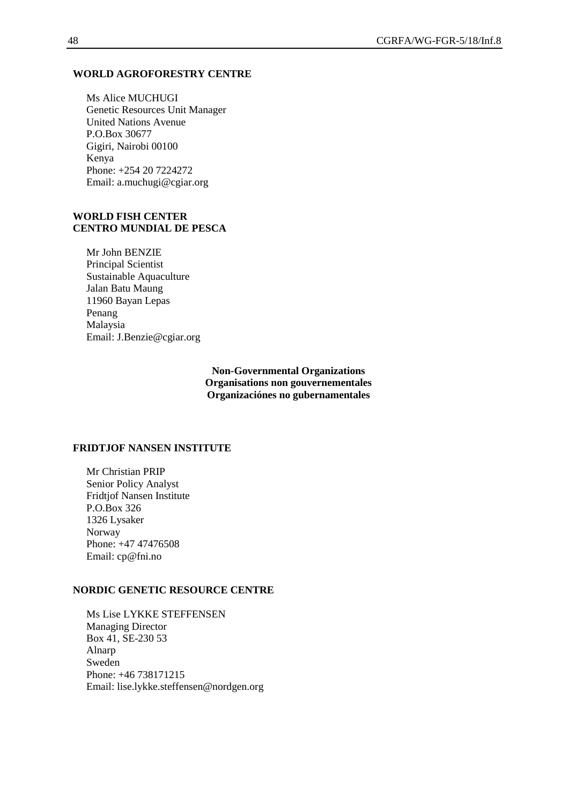#### **WORLD AGROFORESTRY CENTRE**

Ms Alice MUCHUGI Genetic Resources Unit Manager United Nations Avenue P.O.Box 30677 Gigiri, Nairobi 00100 Kenya Phone: +254 20 7224272 Email: a.muchugi@cgiar.org

#### **WORLD FISH CENTER CENTRO MUNDIAL DE PESCA**

Mr John BENZIE Principal Scientist Sustainable Aquaculture Jalan Batu Maung 11960 Bayan Lepas Penang Malaysia Email: J.Benzie@cgiar.org

> **Non-Governmental Organizations Organisations non gouvernementales Organizaciónes no gubernamentales**

#### **FRIDTJOF NANSEN INSTITUTE**

Mr Christian PRIP Senior Policy Analyst Fridtjof Nansen Institute P.O.Box 326 1326 Lysaker Norway Phone: +47 47476508 Email: cp@fni.no

#### **NORDIC GENETIC RESOURCE CENTRE**

Ms Lise LYKKE STEFFENSEN Managing Director Box 41, SE-230 53 Alnarp Sweden Phone: +46 738171215 Email: lise.lykke.steffensen@nordgen.org